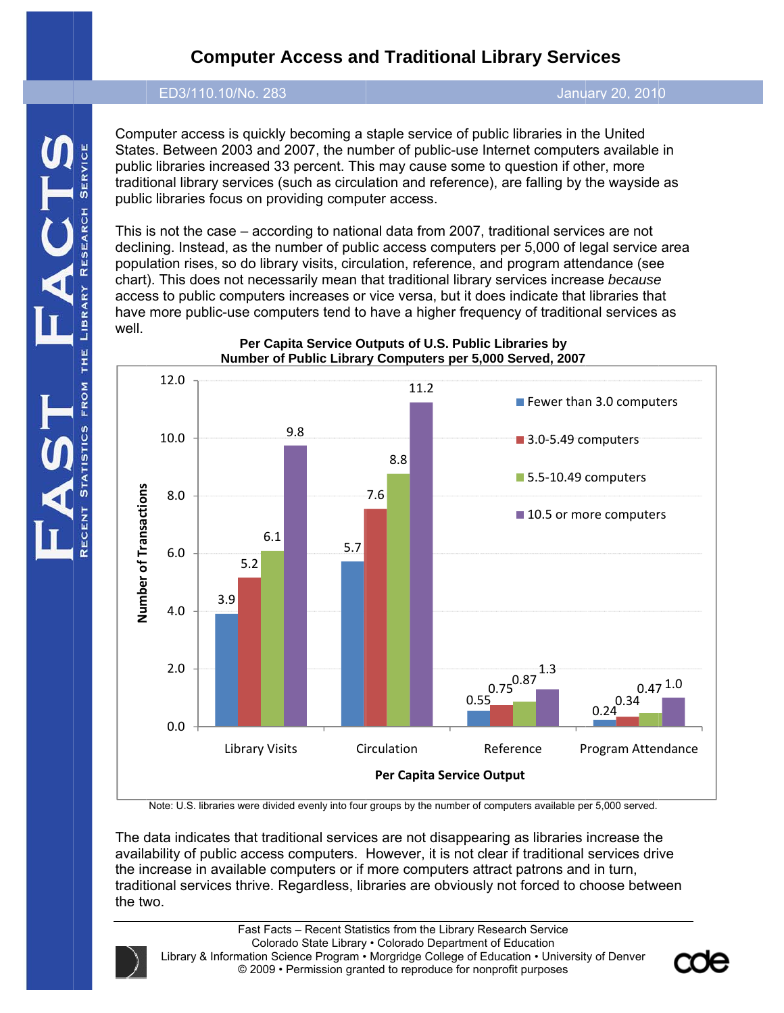# **Computer Access and Traditional Library Services**

#### ED3/110.1 10/No. 283

Janu uary 20, 2010

Computer access is quickly becoming a staple service of public libraries in the United ED3/110.10/No. 283<br>Computer access is quickly becoming a staple service of public libraries in the United<br>States. Between 2003 and 2007, the number of public-use Internet computers available in public libraries increased 33 percent. This may cause some to question if other, more traditional library services (such as circulation and reference), are falling by the wayside as public libraries focus on providing computer access.

This is not the case – according to national data from 2007, traditional services are not declining. Instead, as the number of public access computers per 5,000 of legal service area population rises, so do library visits, circulation, reference, and program attendance (see chart). This does not necessarily mean that traditional library services increase because access to public computers increases or vice versa, but it does indicate that libraries that have more public-use computers tend to have a higher frequency of traditional services as well.



**Per Capita Service Outputs of U.S. Public Libraries by Number of P Public Librar ry Computers s per 5,000 S Served, 2007**

Note: U.S. libraries were divided evenly into four groups by the number of computers available per 5,000 served.

The data indicates that traditional services are not disappearing as libraries increase the The data indicates that traditional services are not disappearing as libraries increase the<br>availability of public access computers. However, it is not clear if traditional services drive the increase in available computers or if more computers attract patrons and in turn, traditional services thrive. Regardless, libraries are obviously not forced to choose between the two.

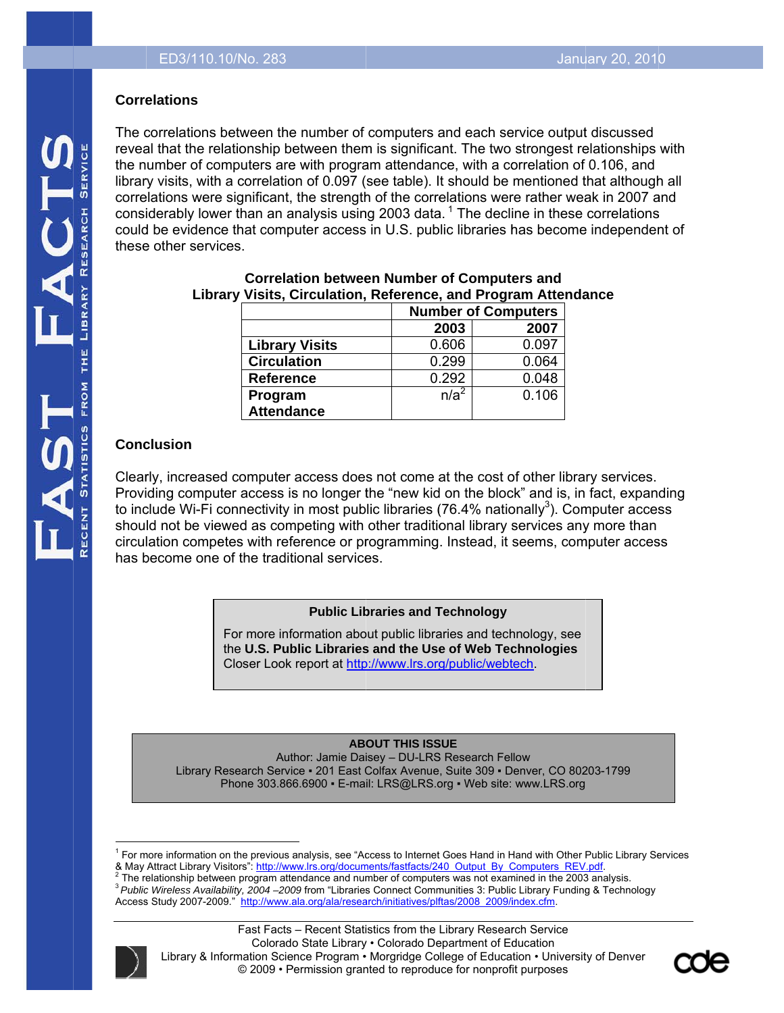# **Corre elations**

The correlations between the number of computers and each service output discussed ED3/110.10/No. 283<br> **Correlations**<br>
The correlations between the number of computers and each service output discussed<br>
reveal that the relationship between them is significant. The two strongest relationships with the number of computers are with program attendance, with a correlation of 0.106, and library visits, with a correlation of 0.097 (see table). It should be mentioned that although all correlations were significant, the strength of the correlations were rather weak in 2007 and considerably lower than an analysis using 2003 data.<sup>1</sup> The decline in these correlations considerably lower than an analysis using 2003 data.<sup>1</sup> The decline in these correlations<br>could be evidence that computer access in U.S. public libraries has become independent of these other services.

| visits, Unculation, Reference, and Frogram Atten |                            |       |  |
|--------------------------------------------------|----------------------------|-------|--|
|                                                  | <b>Number of Computers</b> |       |  |
|                                                  | 2003                       | 2007  |  |
| <b>Library Visits</b>                            | 0.606                      | 0.097 |  |
| <b>Circulation</b>                               | 0.299                      | 0.064 |  |
| <b>Reference</b>                                 | 0.292                      | 0.048 |  |
| Program                                          | $n/a^2$                    | 0.106 |  |
| <b>Attendance</b>                                |                            |       |  |

# Library Visits, Circulation, Reference, and Program Attendance **Correlation between Number of Computers and**

# **Conc clusion**

Clearly, increased computer access does not come at the cost of other library services. Providing computer access is no longer the "new kid on the block" and is, in fact, expanding to include Wi-Fi connectivity in most public libraries (76.4% nationally<sup>3</sup>). Computer access should not be viewed as competing with other traditional library services any more than circulation competes with reference or programming. Instead, it seems, computer access has become one of the traditional services.

### **Public Libraries and Technology**

For more information about public libraries and technology, see **the U.S. Public Libraries and the Use of Web Technologies** Closer Look report at http://www.lrs.org/public/webtech.

#### **AB OUT THIS ISS SUE**

Library Research Service • 201 East Colfax Avenue, Suite 309 • Denver, CO 80203-1799 Author: Jamie Daisey – DU-LRS Research Fellow Phone 303.866.6900 · E-mail: LRS@LRS.org · Web site: www.LRS.org

Access Study 2007-2009." http://www.ala.org/ala/research/initiatives/plftas/2008 2009/index.cfm.





 $\overline{a}$ <sup>1</sup> For more information on the previous analysis, see "Access to Internet Goes Hand in Hand with Other Public Library Services  $\overline{a}$  $\overline{\phantom{a}}$ 

<sup>&</sup>amp; May Attract Library V<br><sup>2</sup> The relationship het w Visitors": http://ww ww.lrs.org/docum ments/fastfacts/24 40 Output By C Computers\_REV V.pdf.

<sup>&</sup>lt;sup>∠</sup> The relationship between program attendance and number of computers was not examined in the 2003 analysis.<br><sup>3</sup> *Public Wireless Availability, 2004 –2009* from "Libraries Connect Communities 3: Public Library Funding & elationship betwe een program atte endance and num mber of compute ers was not exam mined in the 2003 3 analysis.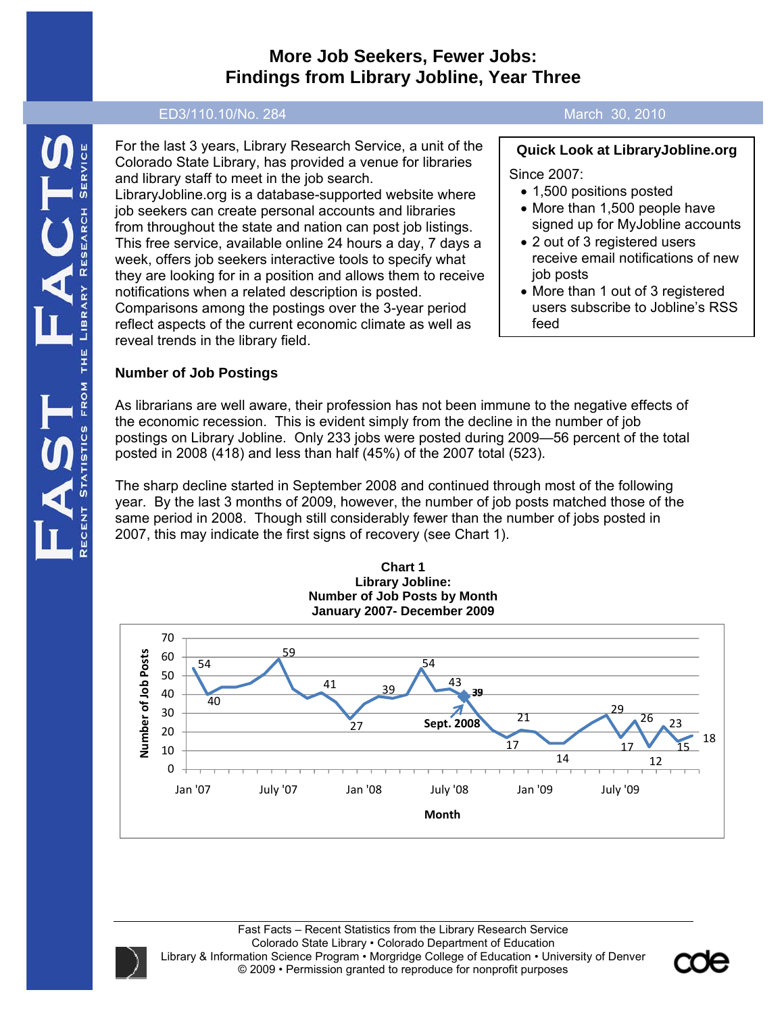# **More Job Seekers, Fewer Jobs: Findings from Library Jobline, Year Three**

#### ED3/110.10/No. 284 March 30, 2010

For the last 3 years, Library Research Service, a unit of the Colorado State Library, has provided a venue for libraries and library staff to meet in the job search. LibraryJobline.org is a database-supported website where job seekers can create personal accounts and libraries from throughout the state and nation can post job listings. This free service, available online 24 hours a day, 7 days a week, offers job seekers interactive tools to specify what they are looking for in a position and allows them to receive notifications when a related description is posted. Comparisons among the postings over the 3-year period reflect aspects of the current economic climate as well as reveal trends in the library field.

# **Number of Job Postings**

**Quick Look at LibraryJobline.org**  Since 2007:

- 1,500 positions posted
- More than 1,500 people have signed up for MyJobline accounts
- 2 out of 3 registered users receive email notifications of new job posts
- More than 1 out of 3 registered users subscribe to Jobline's RSS feed

As librarians are well aware, their profession has not been immune to the negative effects of the economic recession. This is evident simply from the decline in the number of job postings on Library Jobline. Only 233 jobs were posted during 2009—56 percent of the total posted in 2008 (418) and less than half (45%) of the 2007 total (523).

The sharp decline started in September 2008 and continued through most of the following year. By the last 3 months of 2009, however, the number of job posts matched those of the same period in 2008. Though still considerably fewer than the number of jobs posted in 2007, this may indicate the first signs of recovery (see Chart 1).







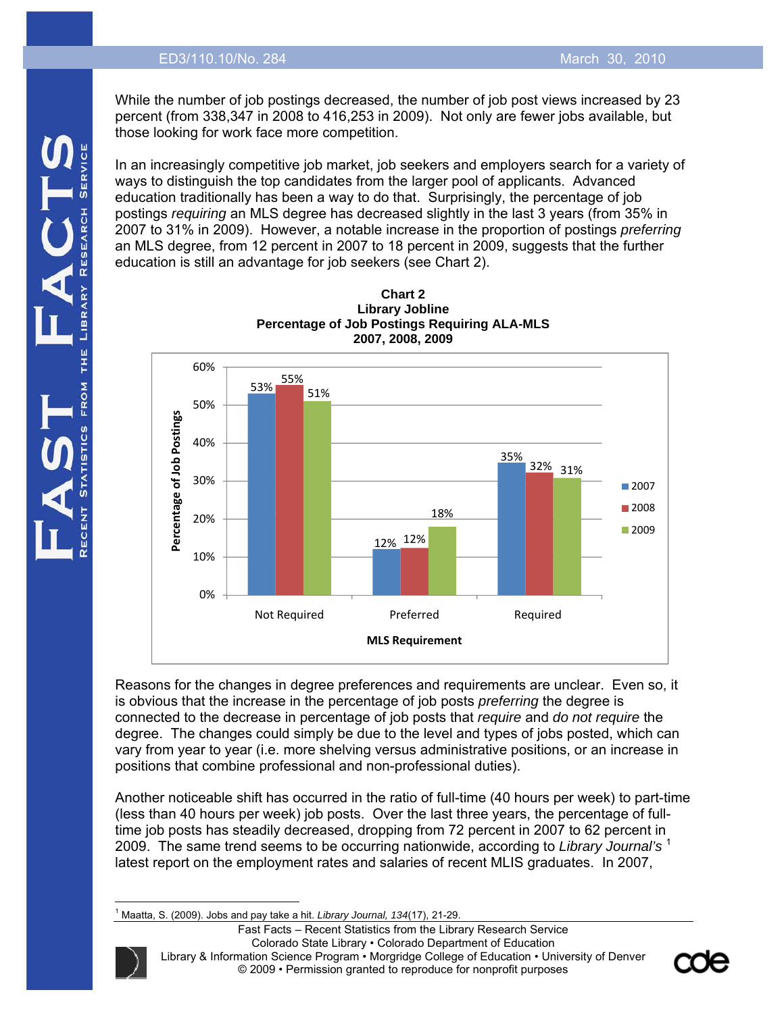#### ED3/110.10/No. 284 March 30, 2010

While the number of job postings decreased, the number of job post views increased by 23 percent (from 338,347 in 2008 to 416,253 in 2009). Not only are fewer jobs available, but those looking for work face more competition.

In an increasingly competitive job market, job seekers and employers search for a variety of ways to distinguish the top candidates from the larger pool of applicants. Advanced education traditionally has been a way to do that. Surprisingly, the percentage of job postings *requiring* an MLS degree has decreased slightly in the last 3 years (from 35% in 2007 to 31% in 2009). However, a notable increase in the proportion of postings *preferring* an MLS degree, from 12 percent in 2007 to 18 percent in 2009, suggests that the further education is still an advantage for job seekers (see Chart 2).





Reasons for the changes in degree preferences and requirements are unclear. Even so, it is obvious that the increase in the percentage of job posts *preferring* the degree is connected to the decrease in percentage of job posts that *require* and *do not require* the degree. The changes could simply be due to the level and types of jobs posted, which can vary from year to year (i.e. more shelving versus administrative positions, or an increase in positions that combine professional and non-professional duties).

Another noticeable shift has occurred in the ratio of full-time (40 hours per week) to part-time (less than 40 hours per week) job posts. Over the last three years, the percentage of fulltime job posts has steadily decreased, dropping from 72 percent in 2007 to 62 percent in 2009. The same trend seems to be occurring nationwide, according to *Library Journal's* <sup>1</sup> latest report on the employment rates and salaries of recent MLIS graduates. In 2007,

 $\overline{\phantom{a}}$ 1 Maatta, S. (2009). Jobs and pay take a hit. *Library Journal, 134*(17), 21-29.

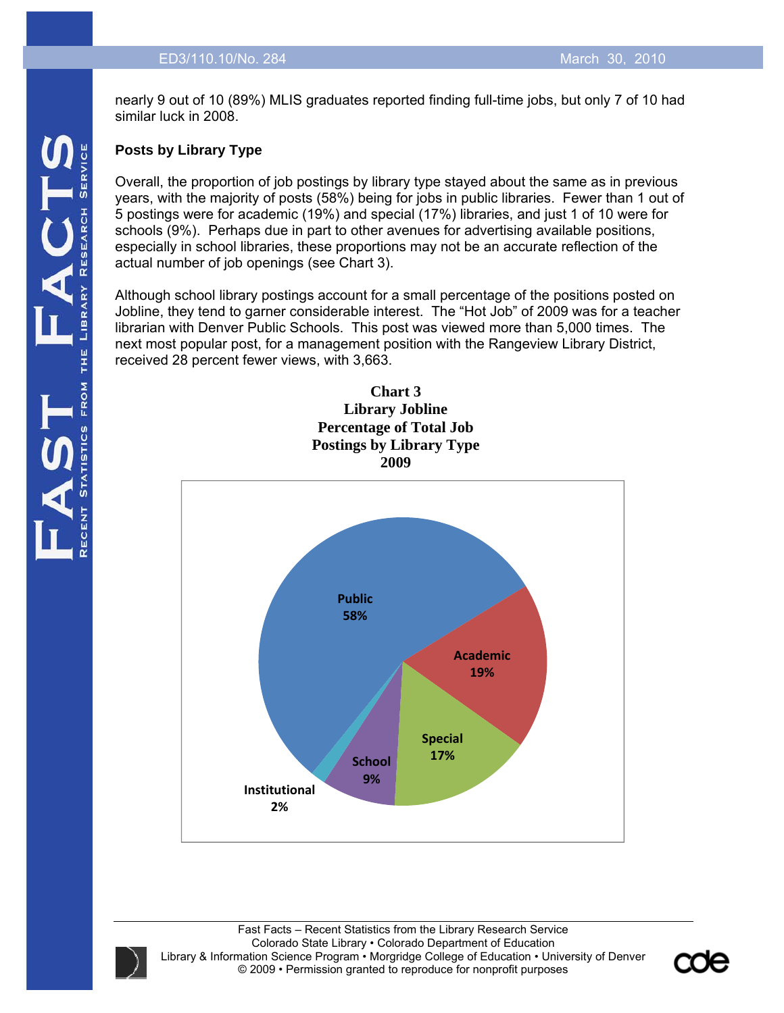nearly 9 out of 10 (89%) MLIS graduates reported finding full-time jobs, but only 7 of 10 had similar luck in 2008.

# **Posts by Library Type**

Overall, the proportion of job postings by library type stayed about the same as in previous years, with the majority of posts (58%) being for jobs in public libraries. Fewer than 1 out of 5 postings were for academic (19%) and special (17%) libraries, and just 1 of 10 were for schools (9%). Perhaps due in part to other avenues for advertising available positions, especially in school libraries, these proportions may not be an accurate reflection of the actual number of job openings (see Chart 3).

Although school library postings account for a small percentage of the positions posted on Jobline, they tend to garner considerable interest. The "Hot Job" of 2009 was for a teacher librarian with Denver Public Schools. This post was viewed more than 5,000 times. The next most popular post, for a management position with the Rangeview Library District, received 28 percent fewer views, with 3,663.

**Chart 3** 



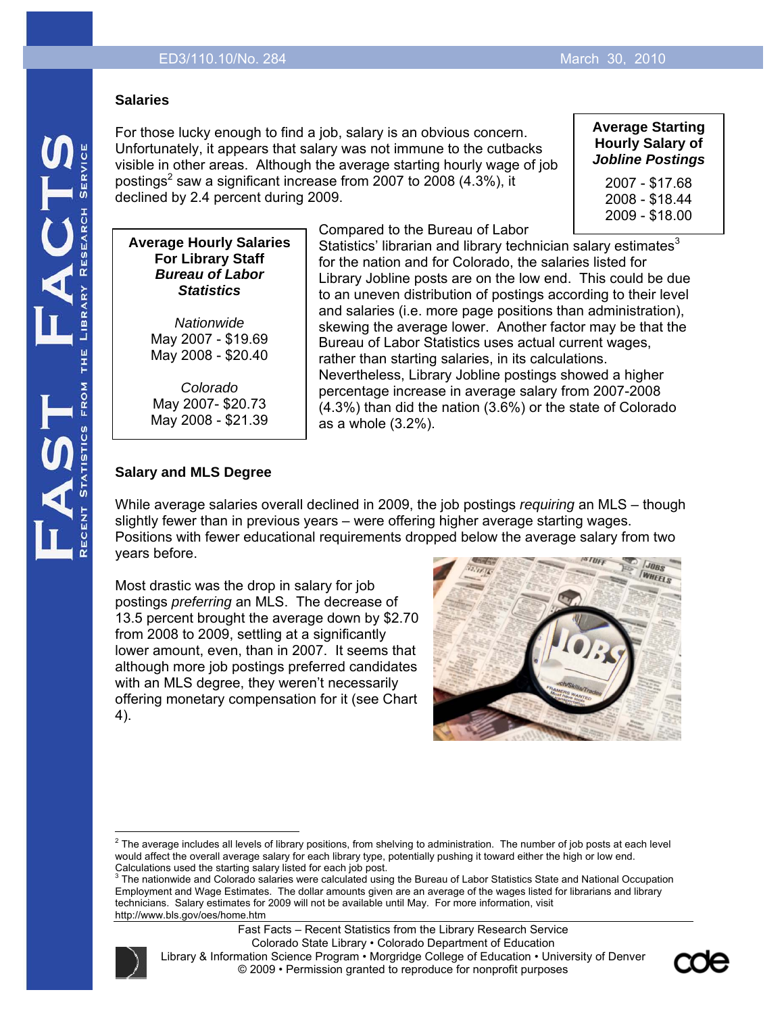#### **Salaries**

For those lucky enough to find a job, salary is an obvious concern. Unfortunately, it appears that salary was not immune to the cutbacks visible in other areas. Although the average starting hourly wage of job postings<sup>2</sup> saw a significant increase from 2007 to 2008 (4.3%), it declined by 2.4 percent during 2009.

#### **Average Starting Hourly Salary of**  *Jobline Postings*

2007 - \$17.68 2008 - \$18.44 2009 - \$18.00

#### **Average Hourly Salaries For Library Staff**  *Bureau of Labor Statistics*

*Nationwide*  May 2007 - \$19.69 May 2008 - \$20.40

*Colorado*  May 2007- \$20.73 May 2008 - \$21.39 Compared to the Bureau of Labor

Statistics' librarian and library technician salary estimates $3$ for the nation and for Colorado, the salaries listed for Library Jobline posts are on the low end. This could be due to an uneven distribution of postings according to their level and salaries (i.e. more page positions than administration), skewing the average lower. Another factor may be that the Bureau of Labor Statistics uses actual current wages, rather than starting salaries, in its calculations. Nevertheless, Library Jobline postings showed a higher percentage increase in average salary from 2007-2008 (4.3%) than did the nation (3.6%) or the state of Colorado as a whole (3.2%).

# **Salary and MLS Degree**

While average salaries overall declined in 2009, the job postings *requiring* an MLS – though slightly fewer than in previous years – were offering higher average starting wages. Positions with fewer educational requirements dropped below the average salary from two years before.

Most drastic was the drop in salary for job postings *preferring* an MLS. The decrease of 13.5 percent brought the average down by \$2.70 from 2008 to 2009, settling at a significantly lower amount, even, than in 2007. It seems that although more job postings preferred candidates with an MLS degree, they weren't necessarily offering monetary compensation for it (see Chart 4).



The nationwide and Colorado salaries were calculated using the Bureau of Labor Statistics State and National Occupation Employment and Wage Estimates. The dollar amounts given are an average of the wages listed for librarians and library technicians. Salary estimates for 2009 will not be available until May. For more information, visit http://www.bls.gov/oes/home.htm





extinal and the average includes all levels of library positions, from shelving to administration. The number of job posts at each level<br><sup>2</sup> The average includes all levels of library positions, from shelving to administra would affect the overall average salary for each library type, potentially pushing it toward either the high or low end. Calculations used the starting salary listed for each job post. 3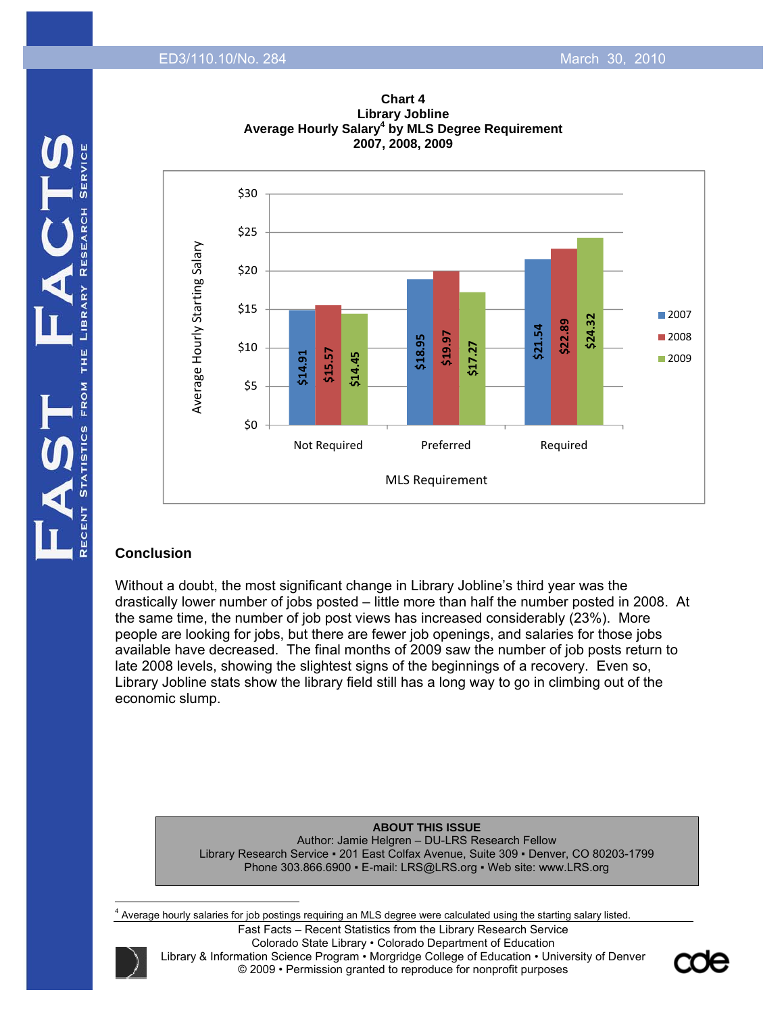



# **Chart 4 Library Jobline**

# MLS Requirement

Not Required Preferred Required

### **Conclusion**

Without a doubt, the most significant change in Library Jobline's third year was the drastically lower number of jobs posted – little more than half the number posted in 2008. At the same time, the number of job post views has increased considerably (23%). More people are looking for jobs, but there are fewer job openings, and salaries for those jobs available have decreased. The final months of 2009 saw the number of job posts return to late 2008 levels, showing the slightest signs of the beginnings of a recovery. Even so, Library Jobline stats show the library field still has a long way to go in climbing out of the economic slump. Phone 303.866.6900 • E-mail: LRS@LRS.org • Web site: www.LRS.org Phone 303.866.6900 • E-mail: LRS@LRS.org • Web site: www.LRS.org Phone 303.866.6900 • E-mail: LRS@LRS.org • Web site: www.LRS.org Phone 303.866.6900 • E-mail

#### **ABOUT THIS ISSUE**

Author: Jamie Helgren – DU-LRS Research Fellow Library Research Service ▪ 201 East Colfax Avenue, Suite 309 ▪ Denver, CO 80203-1799

<sup>4</sup> Average hourly salaries for job postings requiring an MLS degree were calculated using the starting salary listed.



 $\overline{\phantom{a}}$ 

Fast Facts – Recent Statistics from the Library Research Service Colorado State Library • Colorado Department of Education Library & Information Science Program • Morgridge College of Education • University of Denver © 2009 • Permission granted to reproduce for nonprofit purposes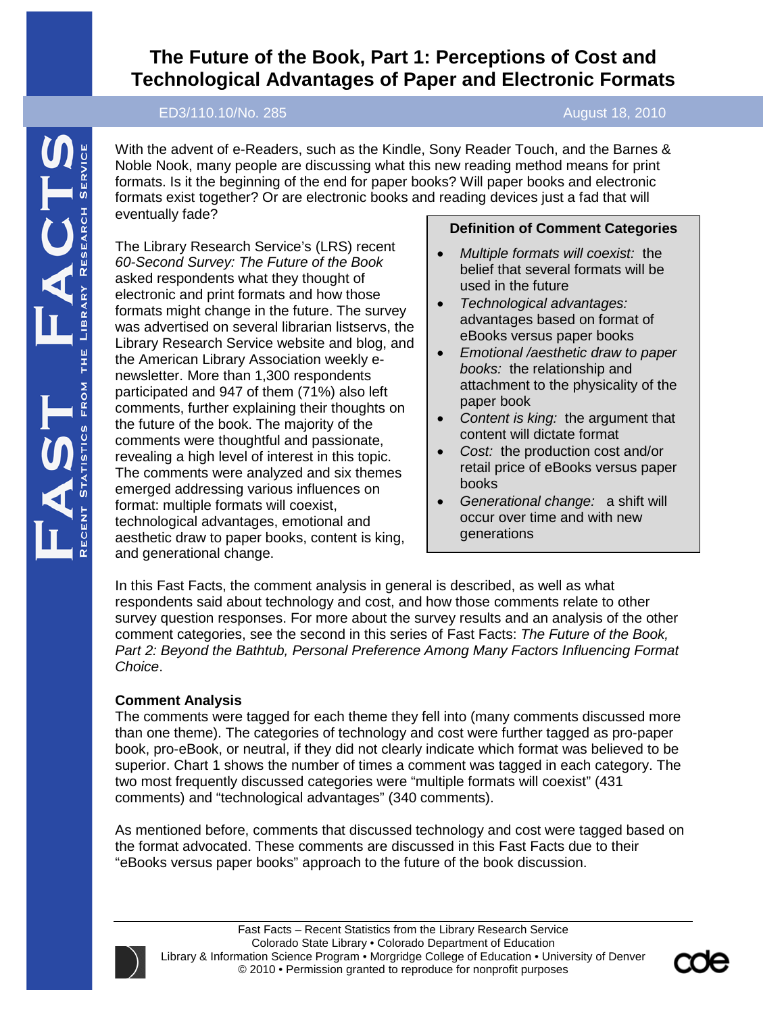# **The Future of the Book, Part 1: Perceptions of Cost and Technological Advantages of Paper and Electronic Formats**

### ED3/110.10/No. 285 August 18, 2010

With the advent of e-Readers, such as the Kindle, Sony Reader Touch, and the Barnes & Noble Nook, many people are discussing what this new reading method means for print formats. Is it the beginning of the end for paper books? Will paper books and electronic formats exist together? Or are electronic books and reading devices just a fad that will eventually fade?

The Library Research Service's (LRS) recent *60-Second Survey: The Future of the Book* asked respondents what they thought of electronic and print formats and how those formats might change in the future. The survey was advertised on several librarian listservs, the Library Research Service website and blog, and the American Library Association weekly enewsletter. More than 1,300 respondents participated and 947 of them (71%) also left comments, further explaining their thoughts on the future of the book. The majority of the comments were thoughtful and passionate, revealing a high level of interest in this topic. The comments were analyzed and six themes emerged addressing various influences on format: multiple formats will coexist, technological advantages, emotional and aesthetic draw to paper books, content is king, and generational change.

# **Definition of Comment Categories**

- *Multiple formats will coexist:* the belief that several formats will be used in the future
- *Technological advantages:* advantages based on format of eBooks versus paper books
- *Emotional /aesthetic draw to paper books:* the relationship and attachment to the physicality of the paper book
- *Content is king:* the argument that content will dictate format
- *Cost:* the production cost and/or retail price of eBooks versus paper books
- *Generational change:* a shift will occur over time and with new generations

In this Fast Facts, the comment analysis in general is described, as well as what respondents said about technology and cost, and how those comments relate to other survey question responses. For more about the survey results and an analysis of the other comment categories, see the second in this series of Fast Facts: *The Future of the Book, Part 2: Beyond the Bathtub, Personal Preference Among Many Factors Influencing Format Choice*.

### **Comment Analysis**

The comments were tagged for each theme they fell into (many comments discussed more than one theme). The categories of technology and cost were further tagged as pro-paper book, pro-eBook, or neutral, if they did not clearly indicate which format was believed to be superior. Chart 1 shows the number of times a comment was tagged in each category. The two most frequently discussed categories were "multiple formats will coexist" (431 comments) and "technological advantages" (340 comments).

As mentioned before, comments that discussed technology and cost were tagged based on the format advocated. These comments are discussed in this Fast Facts due to their "eBooks versus paper books" approach to the future of the book discussion.



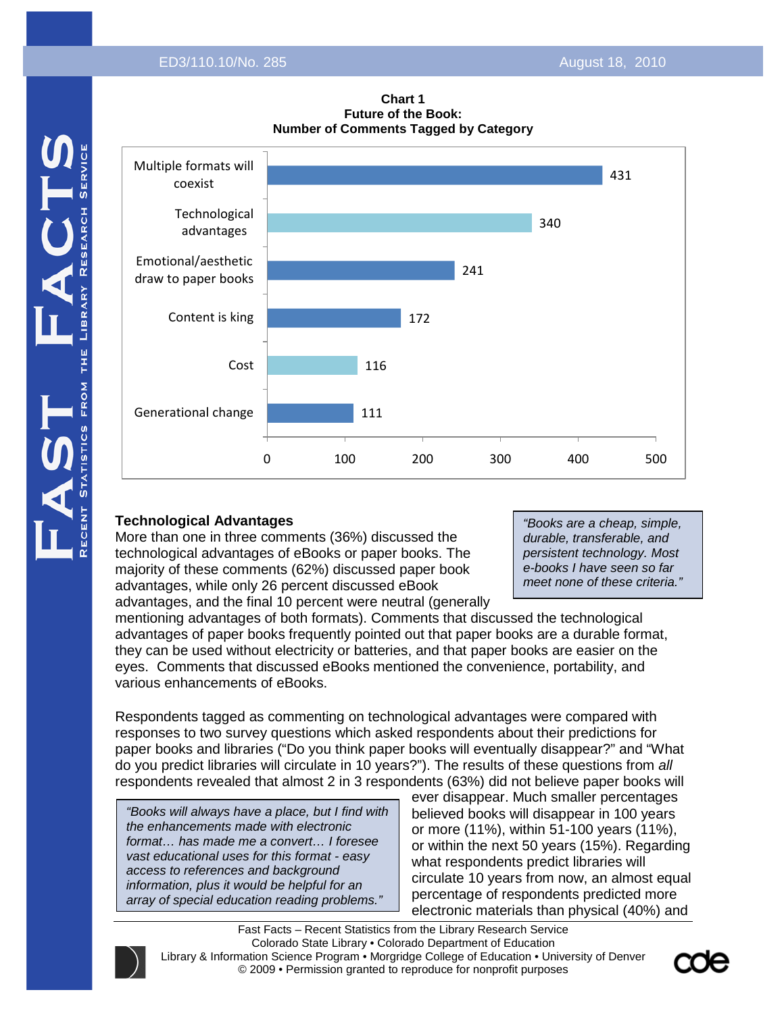

#### **Chart 1 Future of the Book: Number of Comments Tagged by Category**

# **Technological Advantages**

More than one in three comments (36%) discussed the technological advantages of eBooks or paper books. The majority of these comments (62%) discussed paper book advantages, while only 26 percent discussed eBook advantages, and the final 10 percent were neutral (generally

*"Books are a cheap, simple, durable, transferable, and persistent technology. Most e-books I have seen so far meet none of these criteria."*

mentioning advantages of both formats). Comments that discussed the technological advantages of paper books frequently pointed out that paper books are a durable format, they can be used without electricity or batteries, and that paper books are easier on the eyes. Comments that discussed eBooks mentioned the convenience, portability, and various enhancements of eBooks.

Respondents tagged as commenting on technological advantages were compared with responses to two survey questions which asked respondents about their predictions for paper books and libraries ("Do you think paper books will eventually disappear?" and "What do you predict libraries will circulate in 10 years?"). The results of these questions from *all* respondents revealed that almost 2 in 3 respondents (63%) did not believe paper books will

*"Books will always have a place, but I find with the enhancements made with electronic format… has made me a convert… I foresee vast educational uses for this format - easy access to references and background information, plus it would be helpful for an array of special education reading problems."*

ever disappear. Much smaller percentages believed books will disappear in 100 years or more (11%), within 51-100 years (11%), or within the next 50 years (15%). Regarding what respondents predict libraries will circulate 10 years from now, an almost equal percentage of respondents predicted more electronic materials than physical (40%) and

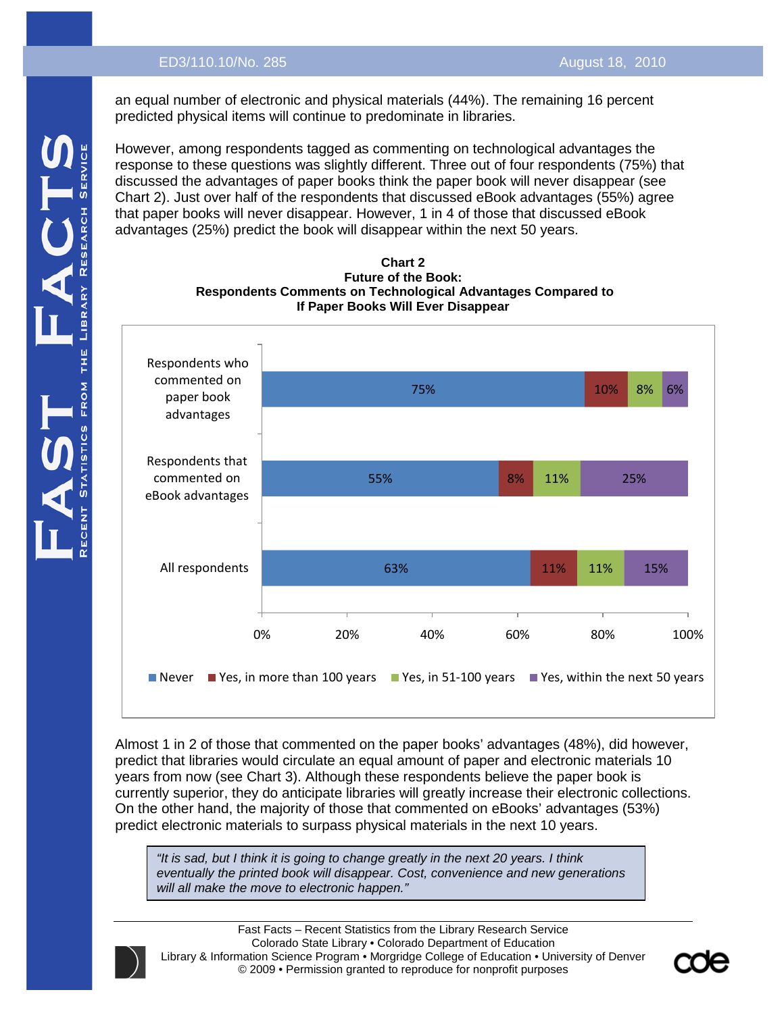an equal number of electronic and physical materials (44%). The remaining 16 percent predicted physical items will continue to predominate in libraries.

However, among respondents tagged as commenting on technological advantages the response to these questions was slightly different. Three out of four respondents (75%) that discussed the advantages of paper books think the paper book will never disappear (see Chart 2). Just over half of the respondents that discussed eBook advantages (55%) agree that paper books will never disappear. However, 1 in 4 of those that discussed eBook advantages (25%) predict the book will disappear within the next 50 years.





Almost 1 in 2 of those that commented on the paper books' advantages (48%), did however, predict that libraries would circulate an equal amount of paper and electronic materials 10 years from now (see Chart 3). Although these respondents believe the paper book is currently superior, they do anticipate libraries will greatly increase their electronic collections. On the other hand, the majority of those that commented on eBooks' advantages (53%) predict electronic materials to surpass physical materials in the next 10 years.

*"It is sad, but I think it is going to change greatly in the next 20 years. I think eventually the printed book will disappear. Cost, convenience and new generations will all make the move to electronic happen."*

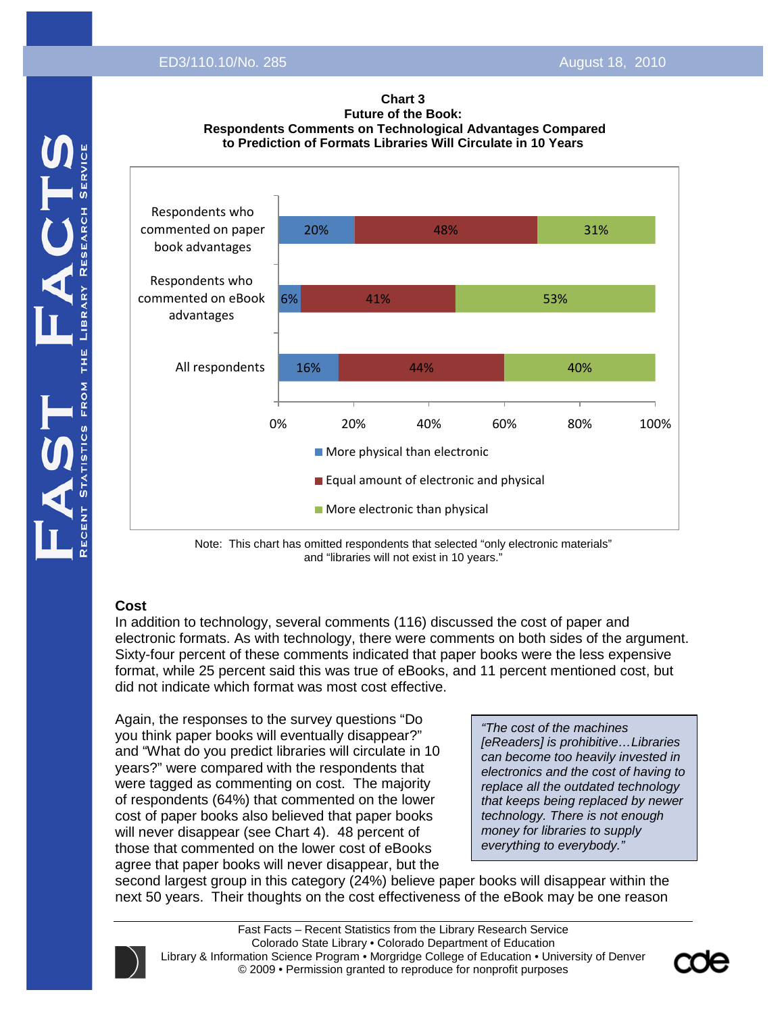



Note: This chart has omitted respondents that selected "only electronic materials" and "libraries will not exist in 10 years."

### **Cost**

In addition to technology, several comments (116) discussed the cost of paper and electronic formats. As with technology, there were comments on both sides of the argument. Sixty-four percent of these comments indicated that paper books were the less expensive format, while 25 percent said this was true of eBooks, and 11 percent mentioned cost, but did not indicate which format was most cost effective.

Again, the responses to the survey questions "Do you think paper books will eventually disappear?" and "What do you predict libraries will circulate in 10 years?" were compared with the respondents that were tagged as commenting on cost. The majority of respondents (64%) that commented on the lower cost of paper books also believed that paper books will never disappear (see Chart 4). 48 percent of those that commented on the lower cost of eBooks agree that paper books will never disappear, but the

*"The cost of the machines [eReaders] is prohibitive…Libraries can become too heavily invested in electronics and the cost of having to replace all the outdated technology that keeps being replaced by newer technology. There is not enough money for libraries to supply everything to everybody."*

second largest group in this category (24%) believe paper books will disappear within the next 50 years. Their thoughts on the cost effectiveness of the eBook may be one reason

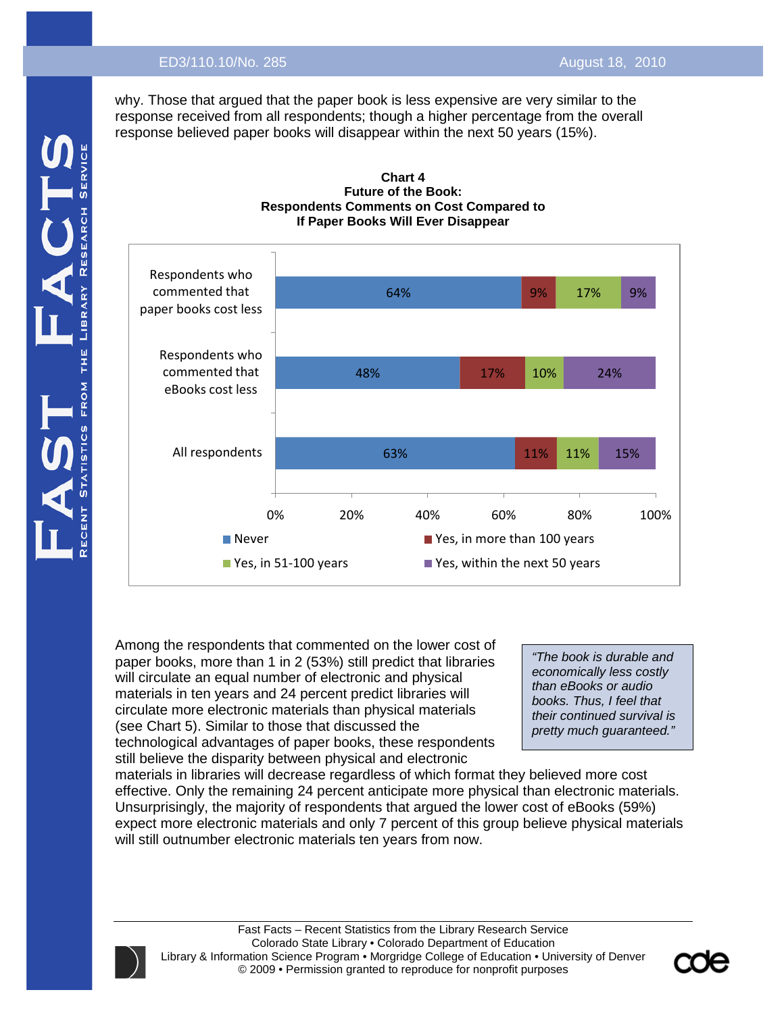why. Those that argued that the paper book is less expensive are very similar to the response received from all respondents; though a higher percentage from the overall response believed paper books will disappear within the next 50 years (15%).





Among the respondents that commented on the lower cost of paper books, more than 1 in 2 (53%) still predict that libraries will circulate an equal number of electronic and physical materials in ten years and 24 percent predict libraries will circulate more electronic materials than physical materials (see Chart 5). Similar to those that discussed the technological advantages of paper books, these respondents still believe the disparity between physical and electronic

*"The book is durable and economically less costly than eBooks or audio books. Thus, I feel that their continued survival is pretty much guaranteed."*

materials in libraries will decrease regardless of which format they believed more cost effective. Only the remaining 24 percent anticipate more physical than electronic materials. Unsurprisingly, the majority of respondents that argued the lower cost of eBooks (59%) expect more electronic materials and only 7 percent of this group believe physical materials will still outnumber electronic materials ten years from now.



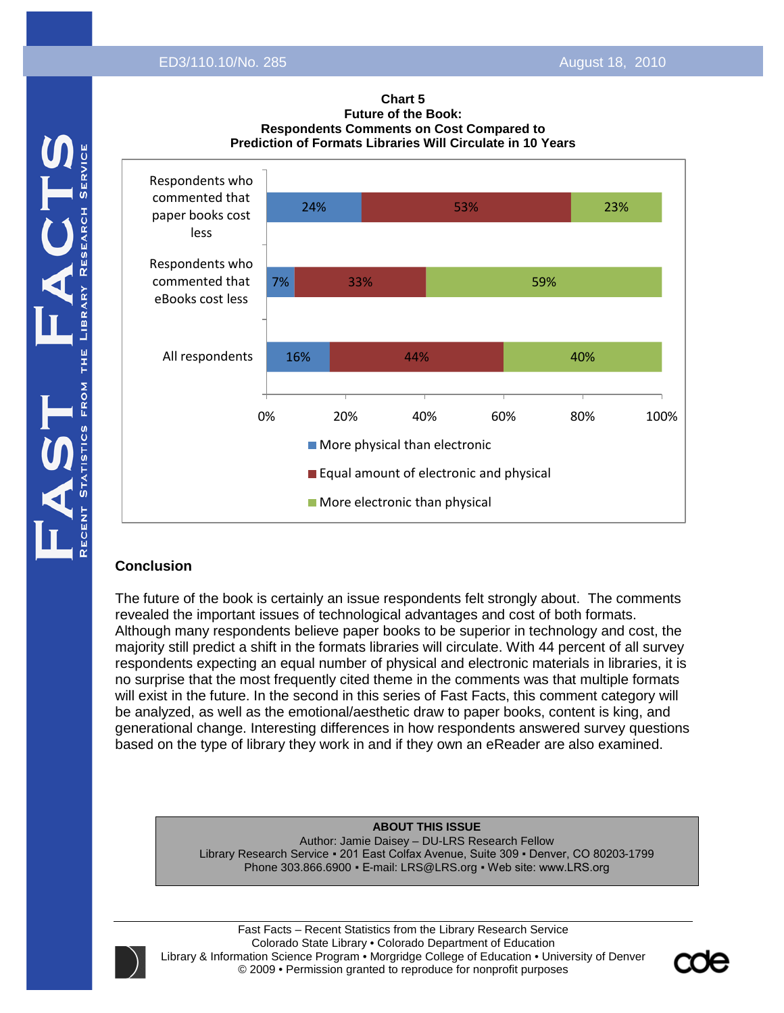



### **Conclusion**

The future of the book is certainly an issue respondents felt strongly about. The comments revealed the important issues of technological advantages and cost of both formats. Although many respondents believe paper books to be superior in technology and cost, the majority still predict a shift in the formats libraries will circulate. With 44 percent of all survey respondents expecting an equal number of physical and electronic materials in libraries, it is no surprise that the most frequently cited theme in the comments was that multiple formats will exist in the future. In the second in this series of Fast Facts, this comment category will be analyzed, as well as the emotional/aesthetic draw to paper books, content is king, and generational change. Interesting differences in how respondents answered survey questions based on the type of library they work in and if they own an eReader are also examined.

#### **ABOUT THIS ISSUE**

Author: Jamie Daisey – DU-LRS Research Fellow Library Research Service ▪ 201 East Colfax Avenue, Suite 309 ▪ Denver, CO 80203-1799 Phone 303.866.6900 • E-mail: LRS@LRS.org • Web site: www.LRS.org

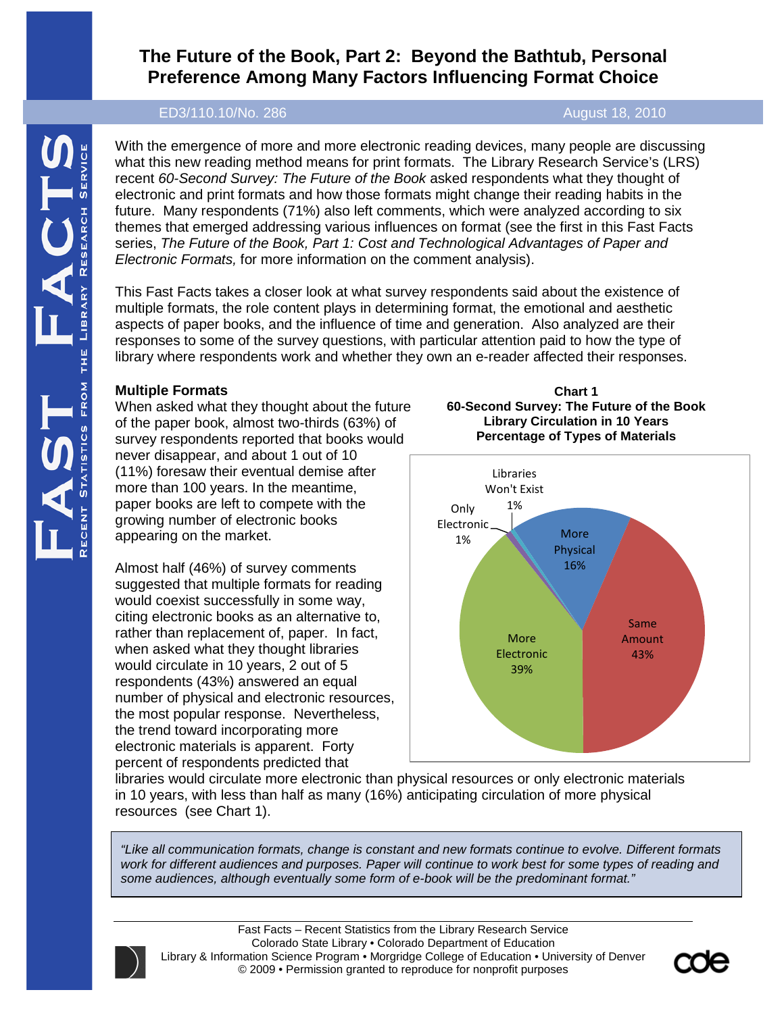With the emergence of more and more electronic reading devices, many people are discussing what this new reading method means for print formats. The Library Research Service's (LRS) recent *60-Second Survey: The Future of the Book* asked respondents what they thought of electronic and print formats and how those formats might change their reading habits in the future. Many respondents (71%) also left comments, which were analyzed according to six themes that emerged addressing various influences on format (see the first in this Fast Facts series, *The Future of the Book, Part 1: Cost and Technological Advantages of Paper and Electronic Formats,* for more information on the comment analysis).

This Fast Facts takes a closer look at what survey respondents said about the existence of multiple formats, the role content plays in determining format, the emotional and aesthetic aspects of paper books, and the influence of time and generation. Also analyzed are their responses to some of the survey questions, with particular attention paid to how the type of library where respondents work and whether they own an e-reader affected their responses.

# **Multiple Formats**

When asked what they thought about the future of the paper book, almost two-thirds (63%) of survey respondents reported that books would never disappear, and about 1 out of 10 (11%) foresaw their eventual demise after more than 100 years. In the meantime, paper books are left to compete with the growing number of electronic books appearing on the market.

Almost half (46%) of survey comments suggested that multiple formats for reading would coexist successfully in some way, citing electronic books as an alternative to, rather than replacement of, paper. In fact, when asked what they thought libraries would circulate in 10 years, 2 out of 5 respondents (43%) answered an equal number of physical and electronic resources, the most popular response. Nevertheless, the trend toward incorporating more electronic materials is apparent. Forty percent of respondents predicted that





libraries would circulate more electronic than physical resources or only electronic materials in 10 years, with less than half as many (16%) anticipating circulation of more physical resources (see Chart 1).

*"Like all communication formats, change is constant and new formats continue to evolve. Different formats work for different audiences and purposes. Paper will continue to work best for some types of reading and some audiences, although eventually some form of e-book will be the predominant format."*



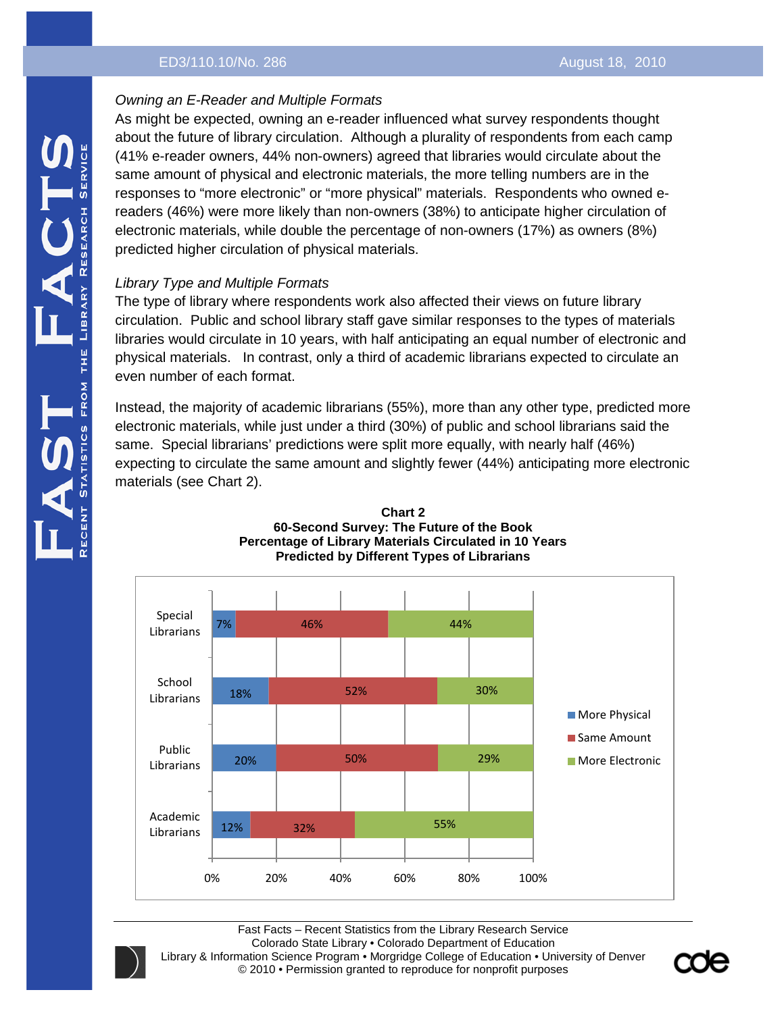# *Owning an E-Reader and Multiple Formats*

As might be expected, owning an e-reader influenced what survey respondents thought about the future of library circulation. Although a plurality of respondents from each camp (41% e-reader owners, 44% non-owners) agreed that libraries would circulate about the same amount of physical and electronic materials, the more telling numbers are in the responses to "more electronic" or "more physical" materials. Respondents who owned ereaders (46%) were more likely than non-owners (38%) to anticipate higher circulation of electronic materials, while double the percentage of non-owners (17%) as owners (8%) predicted higher circulation of physical materials.

# *Library Type and Multiple Formats*

The type of library where respondents work also affected their views on future library circulation. Public and school library staff gave similar responses to the types of materials libraries would circulate in 10 years, with half anticipating an equal number of electronic and physical materials. In contrast, only a third of academic librarians expected to circulate an even number of each format.

Instead, the majority of academic librarians (55%), more than any other type, predicted more electronic materials, while just under a third (30%) of public and school librarians said the same. Special librarians' predictions were split more equally, with nearly half (46%) expecting to circulate the same amount and slightly fewer (44%) anticipating more electronic materials (see Chart 2).





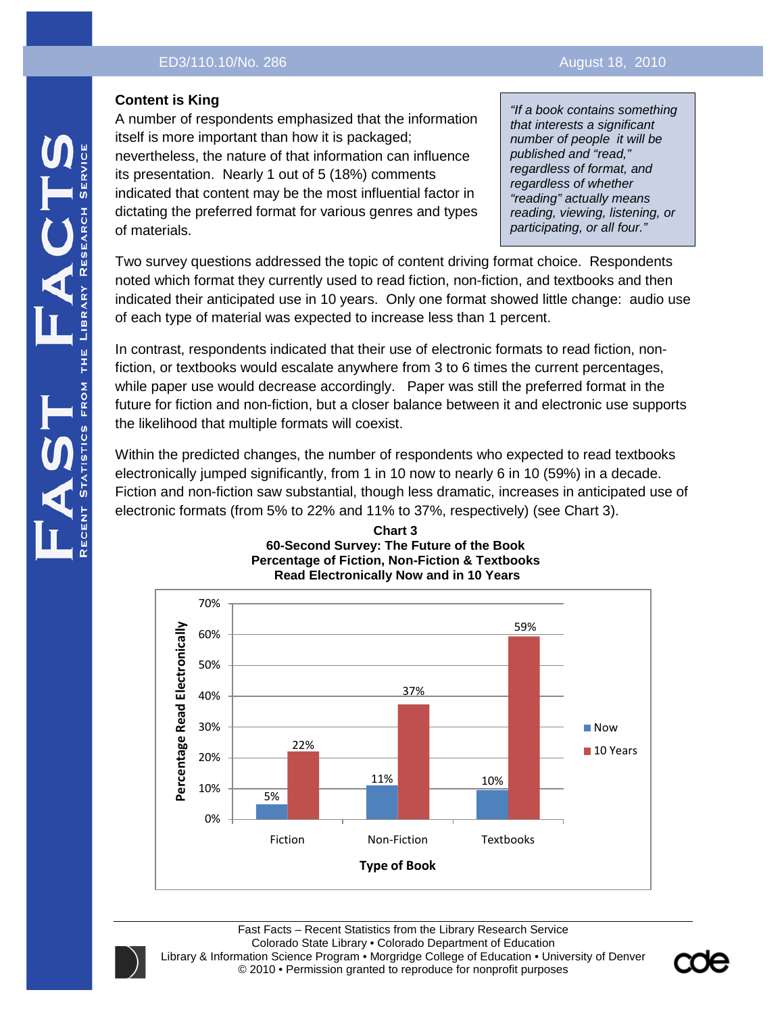# **Content is King**

A number of respondents emphasized that the information itself is more important than how it is packaged; nevertheless, the nature of that information can influence its presentation. Nearly 1 out of 5 (18%) comments indicated that content may be the most influential factor in dictating the preferred format for various genres and types of materials.

*"If a book contains something that interests a significant number of people it will be published and "read," regardless of format, and regardless of whether "reading" actually means reading, viewing, listening, or participating, or all four."*

Two survey questions addressed the topic of content driving format choice. Respondents noted which format they currently used to read fiction, non-fiction, and textbooks and then indicated their anticipated use in 10 years. Only one format showed little change: audio use of each type of material was expected to increase less than 1 percent.

In contrast, respondents indicated that their use of electronic formats to read fiction, nonfiction, or textbooks would escalate anywhere from 3 to 6 times the current percentages, while paper use would decrease accordingly. Paper was still the preferred format in the future for fiction and non-fiction, but a closer balance between it and electronic use supports the likelihood that multiple formats will coexist.

Within the predicted changes, the number of respondents who expected to read textbooks electronically jumped significantly, from 1 in 10 now to nearly 6 in 10 (59%) in a decade. Fiction and non-fiction saw substantial, though less dramatic, increases in anticipated use of electronic formats (from 5% to 22% and 11% to 37%, respectively) (see Chart 3).



#### **Chart 3 60-Second Survey: The Future of the Book Percentage of Fiction, Non-Fiction & Textbooks Read Electronically Now and in 10 Years**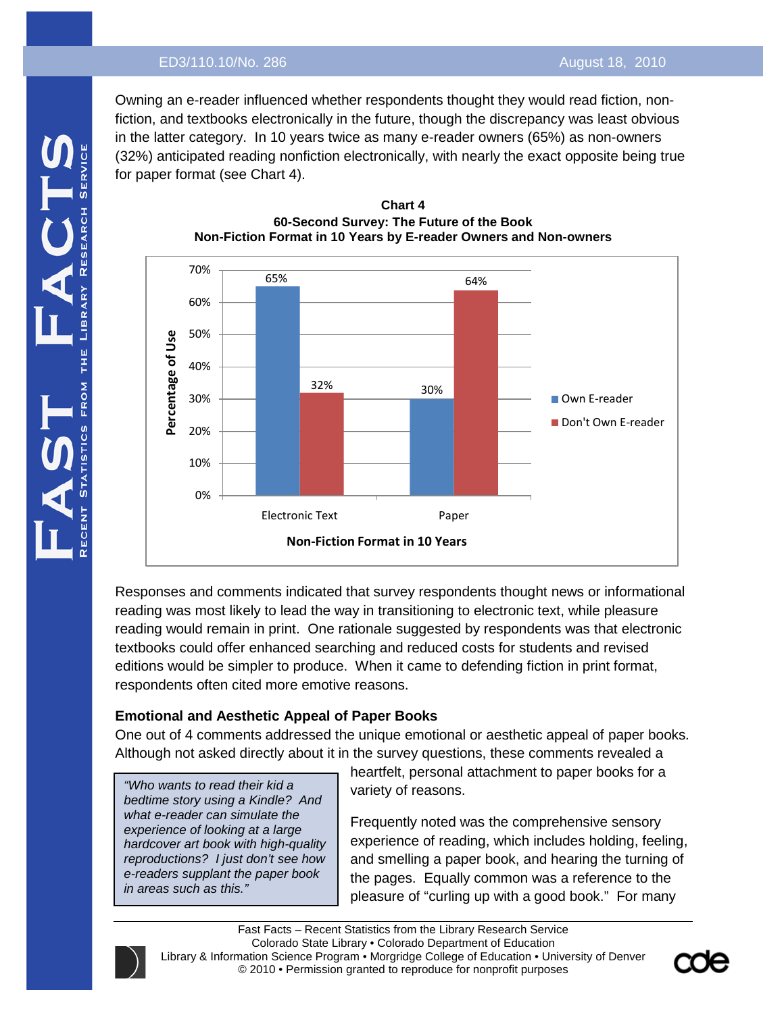Owning an e-reader influenced whether respondents thought they would read fiction, nonfiction, and textbooks electronically in the future, though the discrepancy was least obvious in the latter category. In 10 years twice as many e-reader owners (65%) as non-owners (32%) anticipated reading nonfiction electronically, with nearly the exact opposite being true for paper format (see Chart 4).



#### **Chart 4 60-Second Survey: The Future of the Book Non-Fiction Format in 10 Years by E-reader Owners and Non-owners**

Responses and comments indicated that survey respondents thought news or informational reading was most likely to lead the way in transitioning to electronic text, while pleasure reading would remain in print. One rationale suggested by respondents was that electronic textbooks could offer enhanced searching and reduced costs for students and revised editions would be simpler to produce. When it came to defending fiction in print format, respondents often cited more emotive reasons.

# **Emotional and Aesthetic Appeal of Paper Books**

One out of 4 comments addressed the unique emotional or aesthetic appeal of paper books*.* Although not asked directly about it in the survey questions, these comments revealed a

*"Who wants to read their kid a bedtime story using a Kindle? And what e-reader can simulate the experience of looking at a large hardcover art book with high-quality reproductions? I just don't see how e-readers supplant the paper book in areas such as this."*

heartfelt, personal attachment to paper books for a variety of reasons.

Frequently noted was the comprehensive sensory experience of reading, which includes holding, feeling, and smelling a paper book, and hearing the turning of the pages. Equally common was a reference to the pleasure of "curling up with a good book." For many

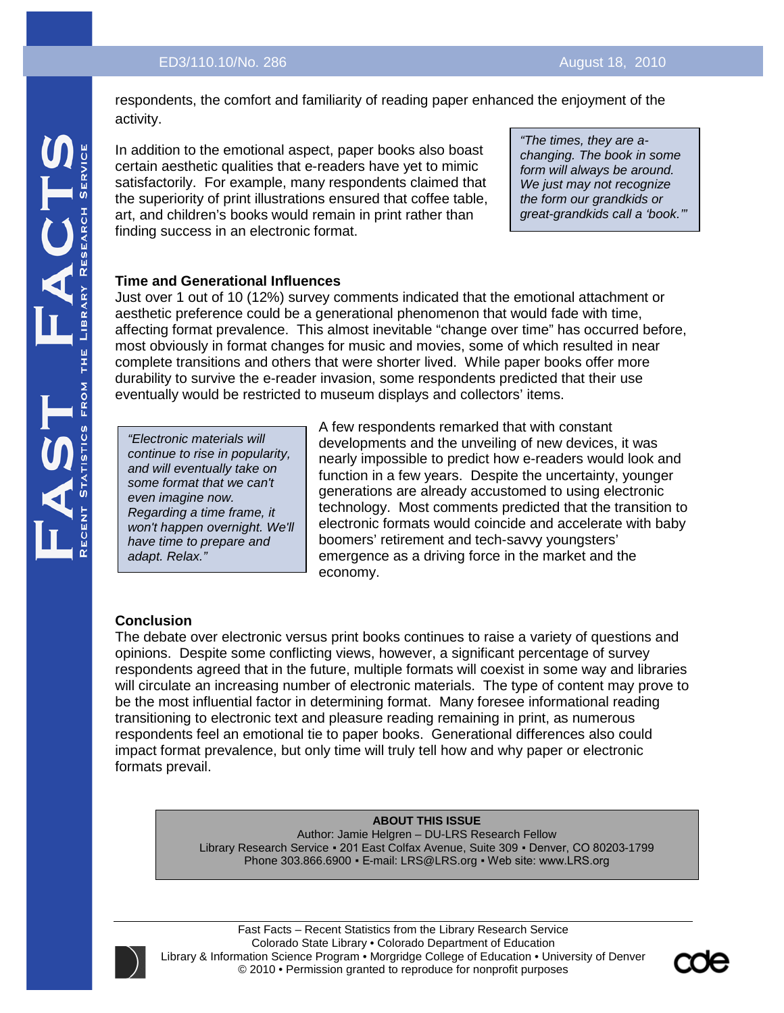respondents, the comfort and familiarity of reading paper enhanced the enjoyment of the activity.

In addition to the emotional aspect, paper books also boast certain aesthetic qualities that e-readers have yet to mimic satisfactorily. For example, many respondents claimed that the superiority of print illustrations ensured that coffee table, art, and children's books would remain in print rather than finding success in an electronic format.

*"The times, they are achanging. The book in some form will always be around. We just may not recognize the form our grandkids or great-grandkids call a 'book.'"*

## **Time and Generational Influences**

Just over 1 out of 10 (12%) survey comments indicated that the emotional attachment or aesthetic preference could be a generational phenomenon that would fade with time, affecting format prevalence. This almost inevitable "change over time" has occurred before, most obviously in format changes for music and movies, some of which resulted in near complete transitions and others that were shorter lived. While paper books offer more durability to survive the e-reader invasion, some respondents predicted that their use eventually would be restricted to museum displays and collectors' items.

*"Electronic materials will continue to rise in popularity, and will eventually take on some format that we can't even imagine now. Regarding a time frame, it won't happen overnight. We'll have time to prepare and adapt. Relax."*

A few respondents remarked that with constant developments and the unveiling of new devices, it was nearly impossible to predict how e-readers would look and function in a few years. Despite the uncertainty, younger generations are already accustomed to using electronic technology. Most comments predicted that the transition to electronic formats would coincide and accelerate with baby boomers' retirement and tech-savvy youngsters' emergence as a driving force in the market and the economy.

# **Conclusion**

The debate over electronic versus print books continues to raise a variety of questions and opinions. Despite some conflicting views, however, a significant percentage of survey respondents agreed that in the future, multiple formats will coexist in some way and libraries will circulate an increasing number of electronic materials. The type of content may prove to be the most influential factor in determining format. Many foresee informational reading transitioning to electronic text and pleasure reading remaining in print, as numerous respondents feel an emotional tie to paper books. Generational differences also could impact format prevalence, but only time will truly tell how and why paper or electronic formats prevail.

#### **ABOUT THIS ISSUE**

Author: Jamie Helgren – DU-LRS Research Fellow Library Research Service ▪ 201 East Colfax Avenue, Suite 309 ▪ Denver, CO 80203-1799 Phone 303.866.6900 · E-mail: LRS@LRS.org · Web site: www.LRS.org



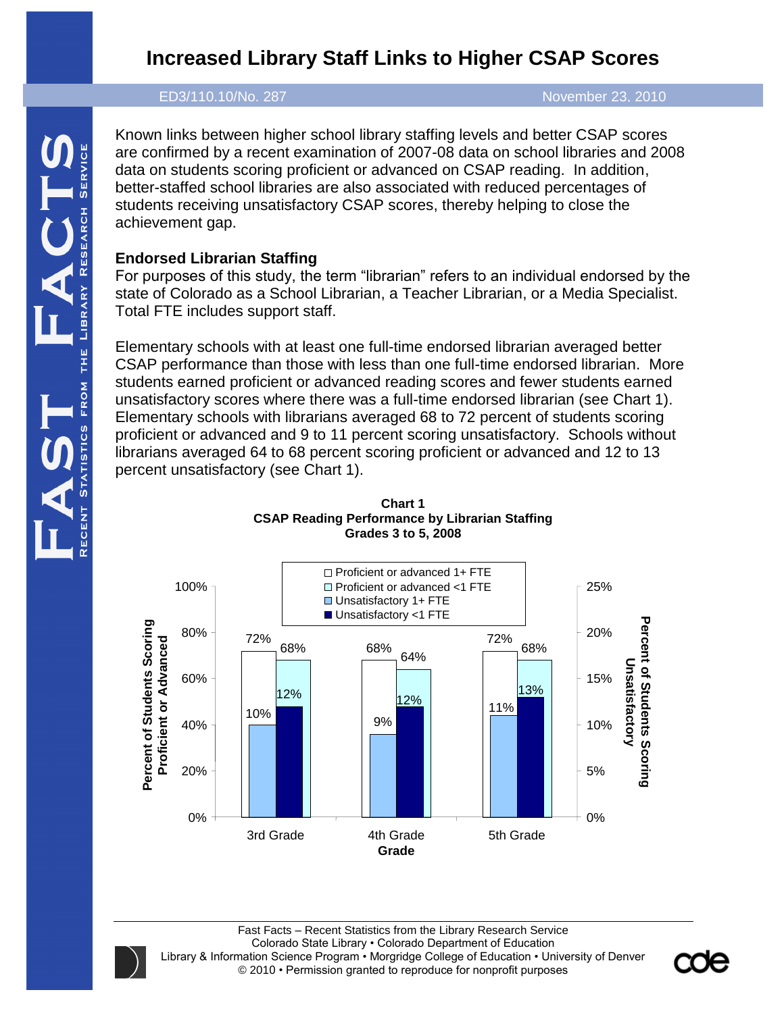# **Increased Library Staff Links to Higher CSAP Scores**

### ED3/110.10/No. 287 November 23, 2010

Known links between higher school library staffing levels and better CSAP scores are confirmed by a recent examination of 2007-08 data on school libraries and 2008 data on students scoring proficient or advanced on CSAP reading. In addition, better-staffed school libraries are also associated with reduced percentages of students receiving unsatisfactory CSAP scores, thereby helping to close the achievement gap.

# **Endorsed Librarian Staffing**

For purposes of this study, the term "librarian" refers to an individual endorsed by the state of Colorado as a School Librarian, a Teacher Librarian, or a Media Specialist. Total FTE includes support staff.

Elementary schools with at least one full-time endorsed librarian averaged better CSAP performance than those with less than one full-time endorsed librarian. More students earned proficient or advanced reading scores and fewer students earned unsatisfactory scores where there was a full-time endorsed librarian (see Chart 1). Elementary schools with librarians averaged 68 to 72 percent of students scoring proficient or advanced and 9 to 11 percent scoring unsatisfactory. Schools without librarians averaged 64 to 68 percent scoring proficient or advanced and 12 to 13 percent unsatisfactory (see Chart 1).



**Chart 1 CSAP Reading Performance by Librarian Staffing Grades 3 to 5, 2008**

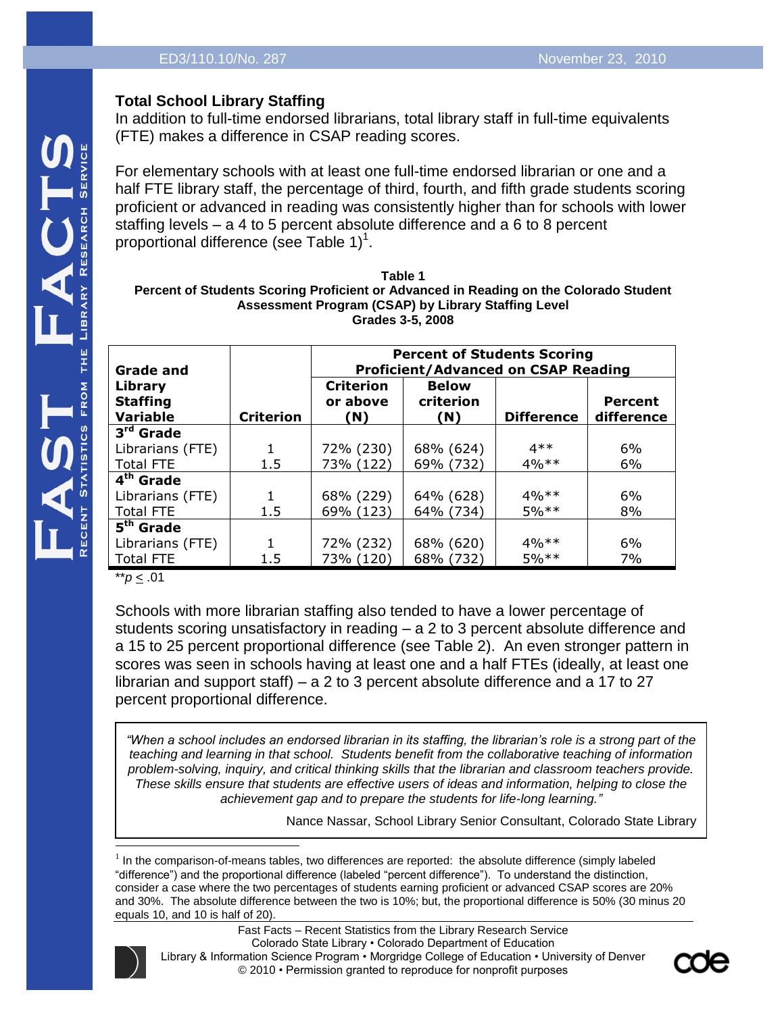# **Total School Library Staffing**

In addition to full-time endorsed librarians, total library staff in full-time equivalents (FTE) makes a difference in CSAP reading scores.

For elementary schools with at least one full-time endorsed librarian or one and a half FTE library staff, the percentage of third, fourth, and fifth grade students scoring proficient or advanced in reading was consistently higher than for schools with lower staffing levels – a 4 to 5 percent absolute difference and a 6 to 8 percent proportional difference (see Table 1) $^1$ .

**Table 1 Percent of Students Scoring Proficient or Advanced in Reading on the Colorado Student Assessment Program (CSAP) by Library Staffing Level Grades 3-5, 2008**

| Grade and<br><b>Library</b> |                  | <b>Percent of Students Scoring</b><br><b>Proficient/Advanced on CSAP Reading</b><br><b>Criterion</b><br><b>Below</b> |                  |                   |                       |
|-----------------------------|------------------|----------------------------------------------------------------------------------------------------------------------|------------------|-------------------|-----------------------|
| <b>Staffing</b><br>Variable | <b>Criterion</b> | or above<br>(N)                                                                                                      | criterion<br>(N) | <b>Difference</b> | Percent<br>difference |
| 3 <sup>rd</sup> Grade       |                  |                                                                                                                      |                  |                   |                       |
| Librarians (FTE)            |                  | 72% (230)                                                                                                            | 68% (624)        | $4**$             | 6%                    |
| <b>Total FTE</b>            | 1.5              | 73% (122)                                                                                                            | 69% (732)        | $4\%**$           | 6%                    |
| 4 <sup>th</sup> Grade       |                  |                                                                                                                      |                  |                   |                       |
| Librarians (FTE)            | 1                | 68% (229)                                                                                                            | 64% (628)        | $4\%**$           | 6%                    |
| <b>Total FTE</b>            | 1.5              | 69% (123)                                                                                                            | 64% (734)        | $5%$ **           | 8%                    |
| $5th$ Grade                 |                  |                                                                                                                      |                  |                   |                       |
| Librarians (FTE)            |                  | 72% (232)                                                                                                            | 68% (620)        | $4\%**$           | 6%                    |
| <b>Total FTE</b>            | 1.5              | 73% (120)                                                                                                            | 68% (732)        | $5%$ **           | 7%                    |

\*\**p* < .01

Schools with more librarian staffing also tended to have a lower percentage of students scoring unsatisfactory in reading – a 2 to 3 percent absolute difference and a 15 to 25 percent proportional difference (see Table 2). An even stronger pattern in scores was seen in schools having at least one and a half FTEs (ideally, at least one librarian and support staff) – a 2 to 3 percent absolute difference and a 17 to 27 percent proportional difference.

*"When a school includes an endorsed librarian in its staffing, the librarian's role is a strong part of the teaching and learning in that school. Students benefit from the collaborative teaching of information problem-solving, inquiry, and critical thinking skills that the librarian and classroom teachers provide. These skills ensure that students are effective users of ideas and information, helping to close the achievement gap and to prepare the students for life-long learning."*

Nance Nassar, School Library Senior Consultant, Colorado State Library

<sup>1</sup> In the comparison-of-means tables, two differences are reported: the absolute difference (simply labeled "difference") and the proportional difference (labeled "percent difference"). To understand the distinction, consider a case where the two percentages of students earning proficient or advanced CSAP scores are 20% and 30%. The absolute difference between the two is 10%; but, the proportional difference is 50% (30 minus 20 equals 10, and 10 is half of 20).



l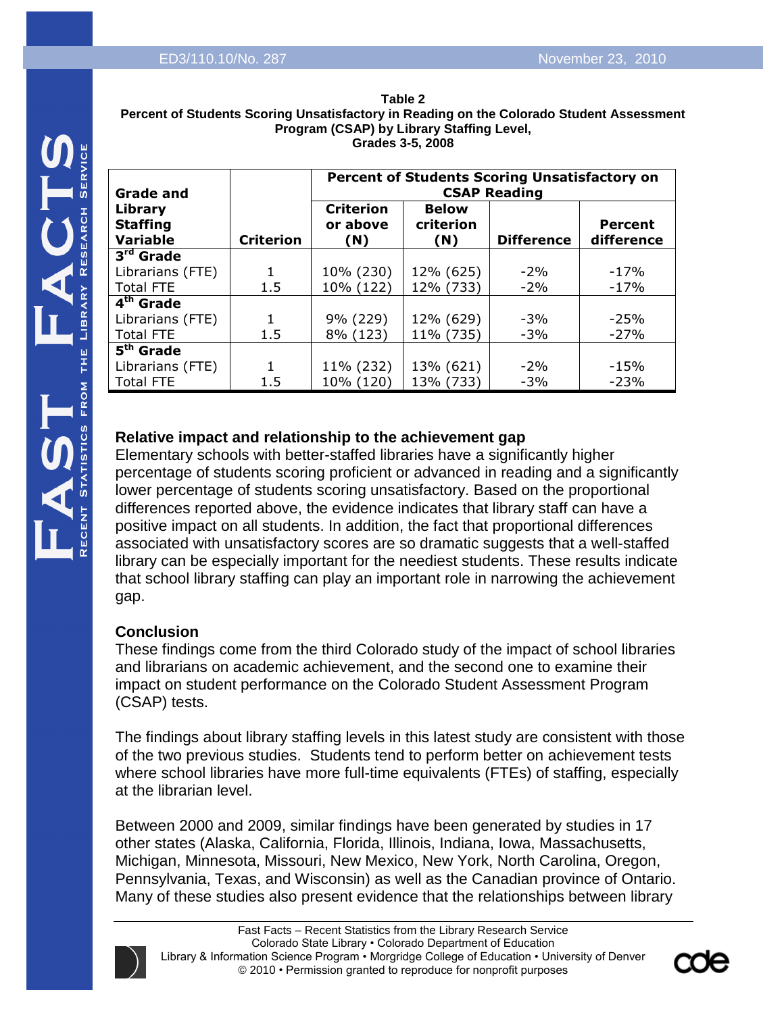|                                                                       | Percent                                                                                                                                                                                                  |
|-----------------------------------------------------------------------|----------------------------------------------------------------------------------------------------------------------------------------------------------------------------------------------------------|
| <u>(J)</u><br><b>SERVICE</b><br><b>RESEARCH</b><br>LIBRARY<br>HH<br>H | Grade a<br>Library<br><b>Staffing</b><br>Variable<br>$3^{\overline{\text{rd}}}$<br>Grad<br>Librarian<br>Total FTI<br>4 <sup>th</sup> Grad<br>Librarian<br>Total FTI<br>5 <sup>th</sup> Grad<br>Librarian |
|                                                                       | Total<br>FTI                                                                                                                                                                                             |
| NT STATISTICS FROM                                                    | <b>Relative</b><br>Element<br>percenta<br>lower pe<br>differen                                                                                                                                           |

| Table 2                                                                                  |  |  |
|------------------------------------------------------------------------------------------|--|--|
| Percent of Students Scoring Unsatisfactory in Reading on the Colorado Student Assessment |  |  |
| <b>Program (CSAP) by Library Staffing Level.</b>                                         |  |  |
| Grades 3-5, 2008                                                                         |  |  |

| <b>Grade and</b>                       |                  | Percent of Students Scoring Unsatisfactory on<br><b>CSAP Reading</b> |                                  |                   |                              |
|----------------------------------------|------------------|----------------------------------------------------------------------|----------------------------------|-------------------|------------------------------|
| Library<br><b>Staffing</b><br>Variable | <b>Criterion</b> | <b>Criterion</b><br>or above<br>(N)                                  | <b>Below</b><br>criterion<br>(N) | <b>Difference</b> | <b>Percent</b><br>difference |
| 3 <sup>rd</sup> Grade                  |                  |                                                                      |                                  |                   |                              |
| Librarians (FTE)                       |                  | 10% (230)                                                            | 12% (625)                        | $-2%$             | $-17%$                       |
| <b>Total FTE</b>                       | 1.5              | 10% (122)                                                            | 12% (733)                        | $-2%$             | $-17%$                       |
| 4 <sup>th</sup> Grade                  |                  |                                                                      |                                  |                   |                              |
| Librarians (FTE)                       |                  | 9% (229)                                                             | 12% (629)                        | $-3%$             | $-25%$                       |
| Total FTE                              | 1.5              | 8% (123)                                                             | 11% (735)                        | $-3%$             | $-27%$                       |
| 5 <sup>th</sup> Grade                  |                  |                                                                      |                                  |                   |                              |
| Librarians (FTE)                       | 1                | 11% (232)                                                            | 13% (621)                        | $-2\%$            | $-15%$                       |
| <b>Total FTE</b>                       | 1.5              | 10% (120)                                                            | 13% (733)                        | $-3%$             | $-23%$                       |

# **Relative impact and relationship to the achievement gap**

tary schools with better-staffed libraries have a significantly higher age of students scoring proficient or advanced in reading and a significantly ercentage of students scoring unsatisfactory. Based on the proportional ces reported above, the evidence indicates that library staff can have a positive impact on all students. In addition, the fact that proportional differences associated with unsatisfactory scores are so dramatic suggests that a well-staffed library can be especially important for the neediest students. These results indicate that school library staffing can play an important role in narrowing the achievement gap.

# **Conclusion**

These findings come from the third Colorado study of the impact of school libraries and librarians on academic achievement, and the second one to examine their impact on student performance on the Colorado Student Assessment Program (CSAP) tests.

The findings about library staffing levels in this latest study are consistent with those of the two previous studies. Students tend to perform better on achievement tests where school libraries have more full-time equivalents (FTEs) of staffing, especially at the librarian level.

Between 2000 and 2009, similar findings have been generated by studies in 17 other states (Alaska, California, Florida, Illinois, Indiana, Iowa, Massachusetts, Michigan, Minnesota, Missouri, New Mexico, New York, North Carolina, Oregon, Pennsylvania, Texas, and Wisconsin) as well as the Canadian province of Ontario. Many of these studies also present evidence that the relationships between library



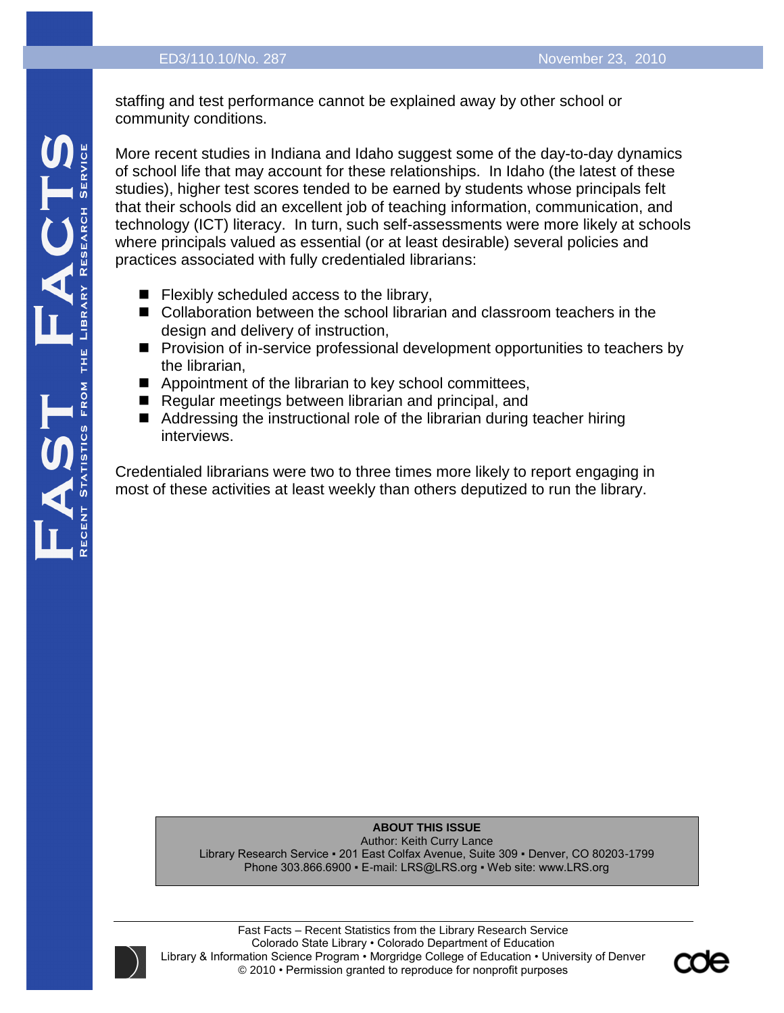staffing and test performance cannot be explained away by other school or community conditions.

More recent studies in Indiana and Idaho suggest some of the day-to-day dynamics of school life that may account for these relationships. In Idaho (the latest of these studies), higher test scores tended to be earned by students whose principals felt that their schools did an excellent job of teaching information, communication, and technology (ICT) literacy. In turn, such self-assessments were more likely at schools where principals valued as essential (or at least desirable) several policies and practices associated with fully credentialed librarians:

- $\blacksquare$  Flexibly scheduled access to the library,
- Collaboration between the school librarian and classroom teachers in the design and delivery of instruction,
- **Provision of in-service professional development opportunities to teachers by** the librarian,
- Appointment of the librarian to key school committees,
- Regular meetings between librarian and principal, and
- Addressing the instructional role of the librarian during teacher hiring interviews.

Credentialed librarians were two to three times more likely to report engaging in most of these activities at least weekly than others deputized to run the library.

**ABOUT THIS ISSUE**

Author: Keith Curry Lance Library Research Service ▪ 201 East Colfax Avenue, Suite 309 ▪ Denver, CO 80203-1799 Phone 303.866.6900 • E-mail: LRS@LRS.org • Web site: www.LRS.org



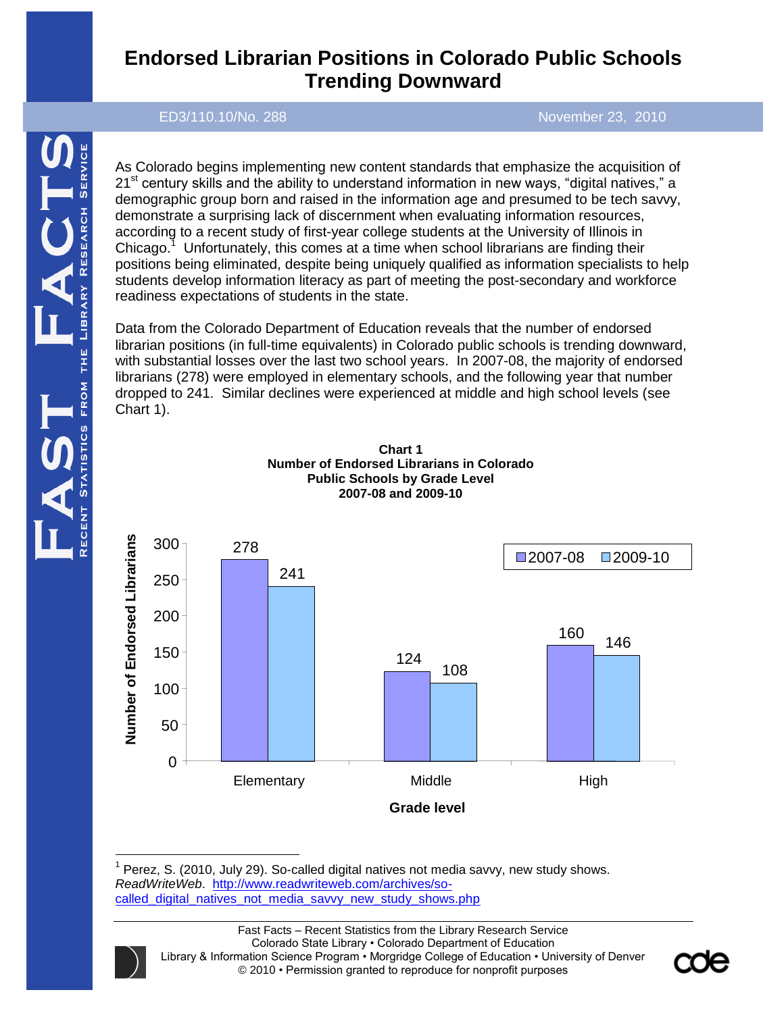# **Endorsed Librarian Positions in Colorado Public Schools Trending Downward**

ED3/110.10/No. 288 November 23, 2010

As Colorado begins implementing new content standards that emphasize the acquisition of  $21<sup>st</sup>$  century skills and the ability to understand information in new ways, "digital natives," a demographic group born and raised in the information age and presumed to be tech savvy, demonstrate a surprising lack of discernment when evaluating information resources, according to a recent study of first-year college students at the University of Illinois in Chicago. $1$  Unfortunately, this comes at a time when school librarians are finding their positions being eliminated, despite being uniquely qualified as information specialists to help students develop information literacy as part of meeting the post-secondary and workforce readiness expectations of students in the state.

Data from the Colorado Department of Education reveals that the number of endorsed librarian positions (in full-time equivalents) in Colorado public schools is trending downward, with substantial losses over the last two school years. In 2007-08, the majority of endorsed librarians (278) were employed in elementary schools, and the following year that number dropped to 241. Similar declines were experienced at middle and high school levels (see Chart 1).





 $1$  Perez, S. (2010, July 29). So-called digital natives not media savvy, new study shows. *ReadWriteWeb*. [http://www.readwriteweb.com/archives/so](http://www.readwriteweb.com/archives/so-called_digital_natives_not_media_savvy_new_study_shows.php)[called\\_digital\\_natives\\_not\\_media\\_savvy\\_new\\_study\\_shows.php](http://www.readwriteweb.com/archives/so-called_digital_natives_not_media_savvy_new_study_shows.php)



 $\overline{a}$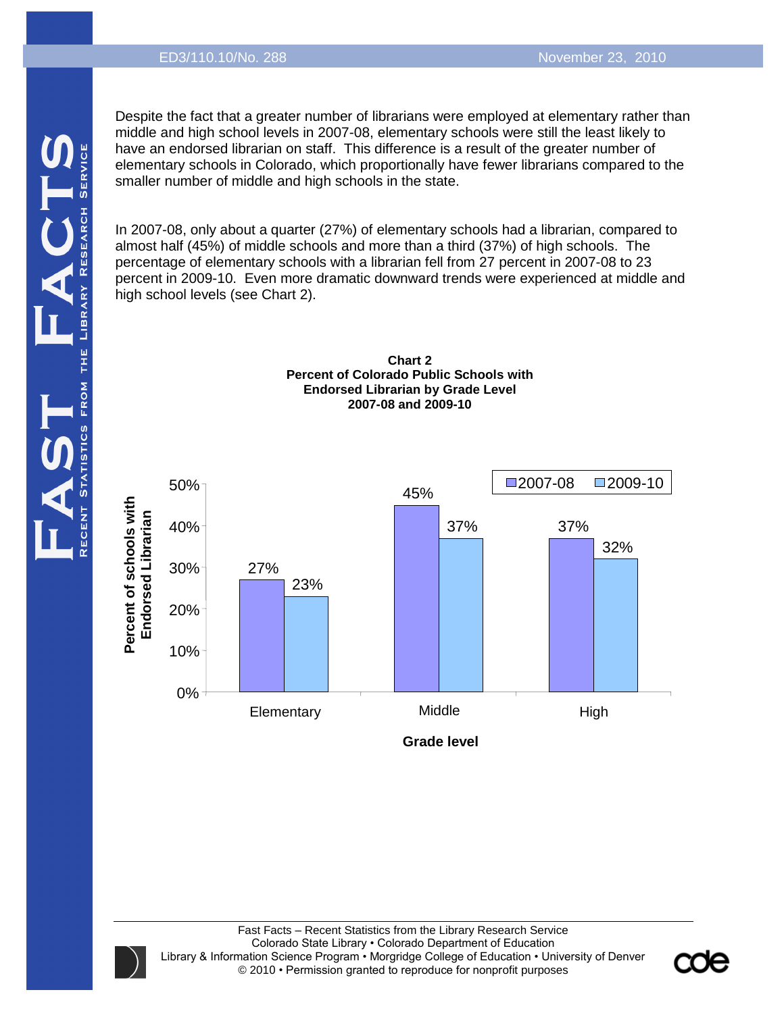Despite the fact that a greater number of librarians were employed at elementary rather than middle and high school levels in 2007-08, elementary schools were still the least likely to have an endorsed librarian on staff. This difference is a result of the greater number of elementary schools in Colorado, which proportionally have fewer librarians compared to the smaller number of middle and high schools in the state.

In 2007-08, only about a quarter (27%) of elementary schools had a librarian, compared to almost half (45%) of middle schools and more than a third (37%) of high schools. The percentage of elementary schools with a librarian fell from 27 percent in 2007-08 to 23 percent in 2009-10. Even more dramatic downward trends were experienced at middle and high school levels (see Chart 2).





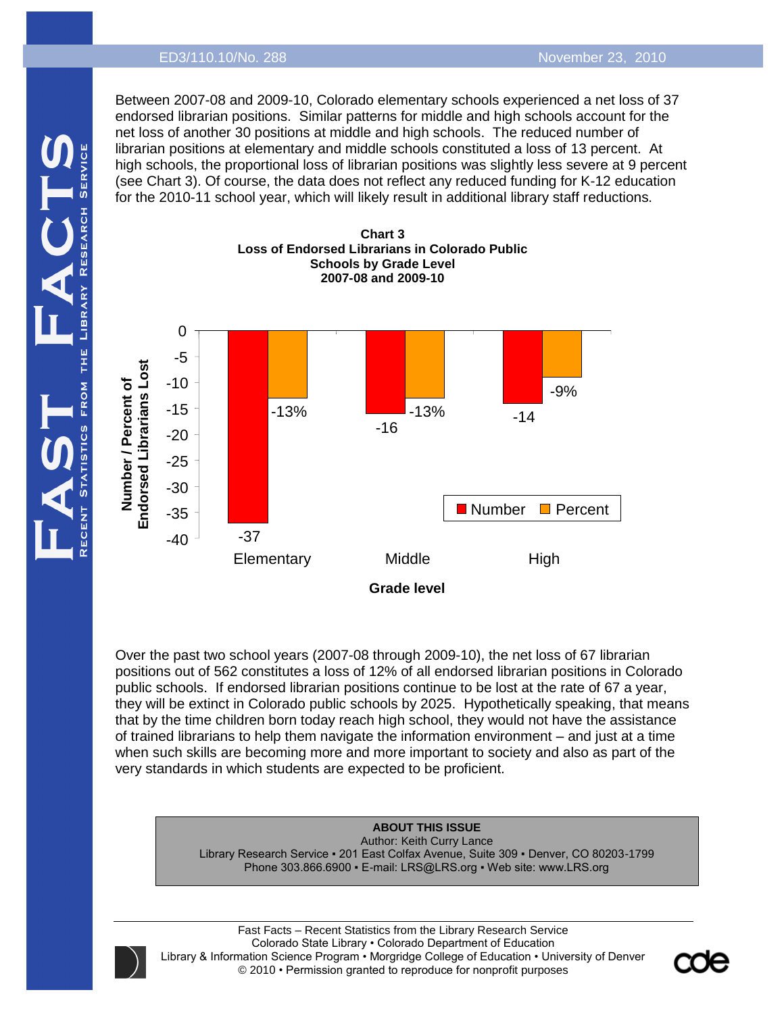#### ED3/110.10/No. 288 November 23, 2010

Between 2007-08 and 2009-10, Colorado elementary schools experienced a net loss of 37 endorsed librarian positions. Similar patterns for middle and high schools account for the net loss of another 30 positions at middle and high schools. The reduced number of librarian positions at elementary and middle schools constituted a loss of 13 percent. At high schools, the proportional loss of librarian positions was slightly less severe at 9 percent (see Chart 3). Of course, the data does not reflect any reduced funding for K-12 education for the 2010-11 school year, which will likely result in additional library staff reductions.



Over the past two school years (2007-08 through 2009-10), the net loss of 67 librarian positions out of 562 constitutes a loss of 12% of all endorsed librarian positions in Colorado public schools. If endorsed librarian positions continue to be lost at the rate of 67 a year, they will be extinct in Colorado public schools by 2025. Hypothetically speaking, that means that by the time children born today reach high school, they would not have the assistance of trained librarians to help them navigate the information environment – and just at a time when such skills are becoming more and more important to society and also as part of the very standards in which students are expected to be proficient.

#### **ABOUT THIS ISSUE**

Author: Keith Curry Lance Library Research Service ▪ 201 East Colfax Avenue, Suite 309 ▪ Denver, CO 80203-1799 Phone 303.866.6900 • E-mail: LRS@LRS.org • Web site: www.LRS.org



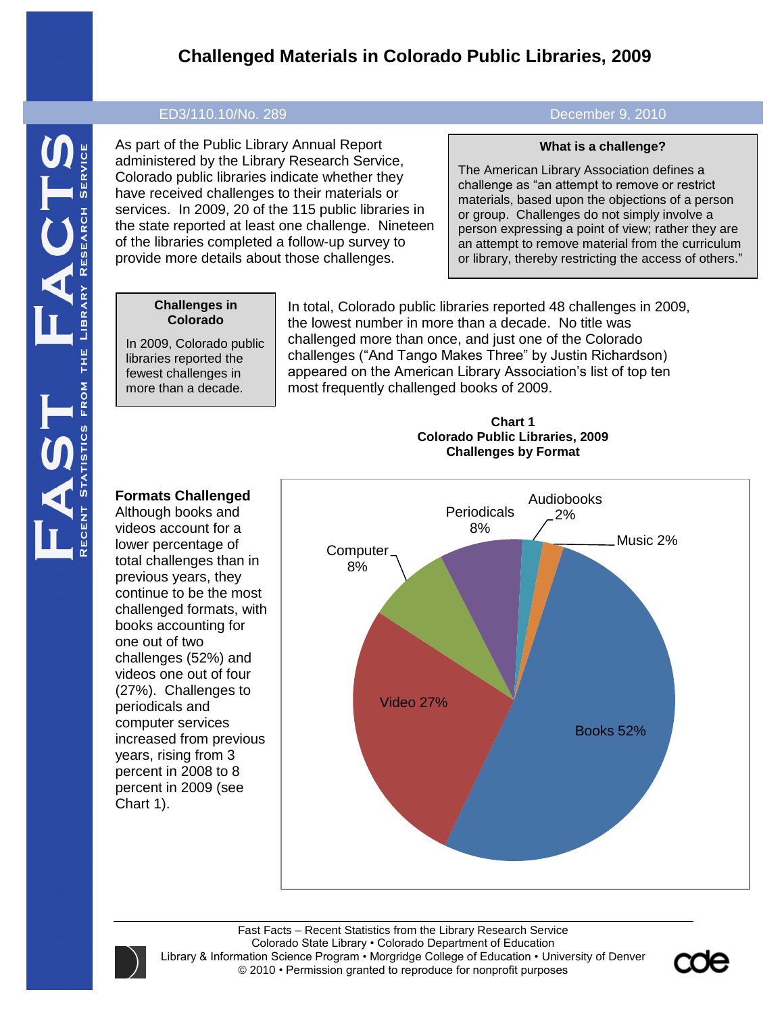# **Challenged Materials in Colorado Public Libraries, 2009**

#### ED3/110.10/No. 289 December 9, 2010

As part of the Public Library Annual Report administered by the Library Research Service, Colorado public libraries indicate whether they have received challenges to their materials or services. In 2009, 20 of the 115 public libraries in the state reported at least one challenge. Nineteen of the libraries completed a follow-up survey to provide more details about those challenges.

#### **What is a challenge?**

The American Library Association defines a challenge as "an attempt to remove or restrict materials, based upon the objections of a person or group. Challenges do not simply involve a person expressing a point of view; rather they are an attempt to remove material from the curriculum or library, thereby restricting the access of others."

#### **Challenges in Colorado**

In 2009, Colorado public libraries reported the fewest challenges in more than a decade.

In total, Colorado public libraries reported 48 challenges in 2009, the lowest number in more than a decade. No title was challenged more than once, and just one of the Colorado challenges ("And Tango Makes Three" by Justin Richardson) appeared on the American Library Association's list of top ten most frequently challenged books of 2009.

**Chart 1**



# **Colorado Public Libraries, 2009 Challenges by Format**

# **Formats Challenged**

Although books and videos account for a lower percentage of total challenges than in previous years, they continue to be the most challenged formats, with books accounting for one out of two challenges (52%) and videos one out of four (27%). Challenges to periodicals and computer services increased from previous years, rising from 3 percent in 2008 to 8 percent in 2009 (see Chart 1).

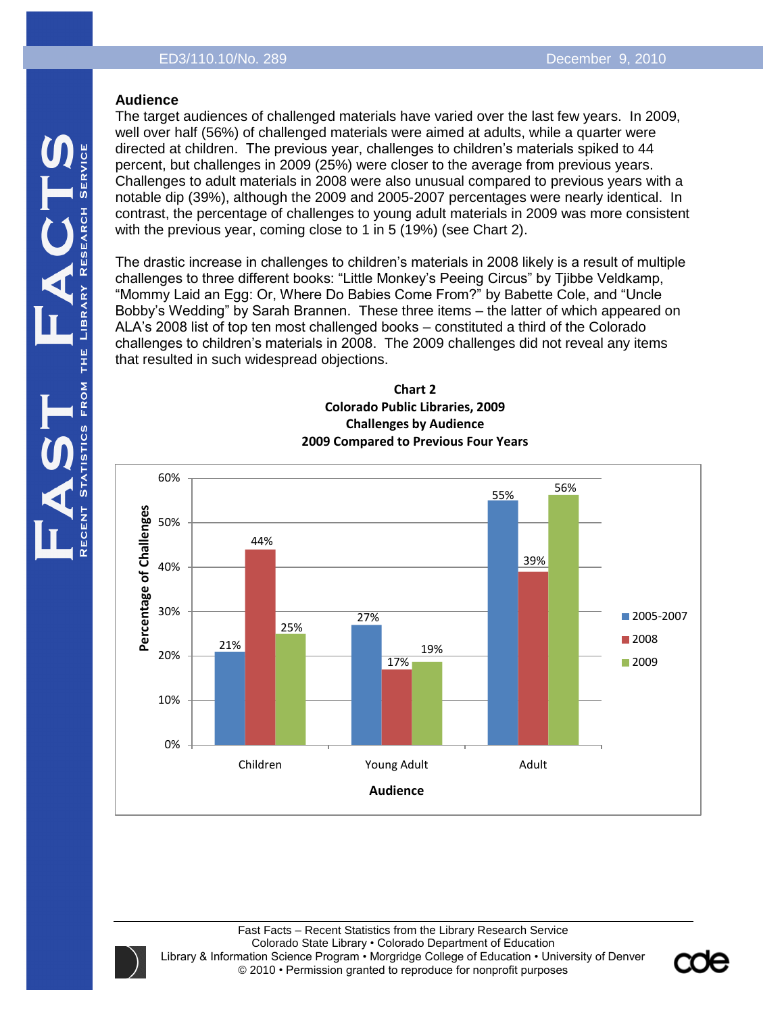#### **Audience**

The target audiences of challenged materials have varied over the last few years. In 2009, well over half (56%) of challenged materials were aimed at adults, while a quarter were directed at children. The previous year, challenges to children's materials spiked to 44 percent, but challenges in 2009 (25%) were closer to the average from previous years. Challenges to adult materials in 2008 were also unusual compared to previous years with a notable dip (39%), although the 2009 and 2005-2007 percentages were nearly identical. In contrast, the percentage of challenges to young adult materials in 2009 was more consistent with the previous year, coming close to 1 in 5 (19%) (see Chart 2).

The drastic increase in challenges to children's materials in 2008 likely is a result of multiple challenges to three different books: "Little Monkey's Peeing Circus" by Tjibbe Veldkamp, "Mommy Laid an Egg: Or, Where Do Babies Come From?" by Babette Cole, and "Uncle Bobby's Wedding" by Sarah Brannen. These three items – the latter of which appeared on ALA's 2008 list of top ten most challenged books – constituted a third of the Colorado challenges to children's materials in 2008. The 2009 challenges did not reveal any items that resulted in such widespread objections.



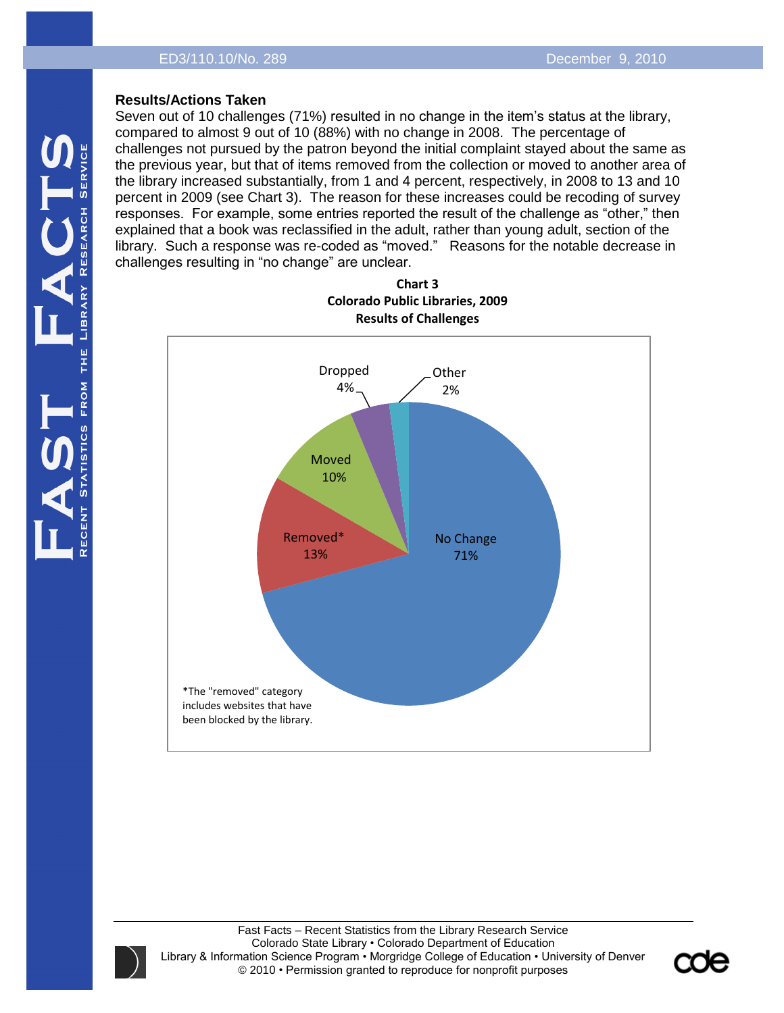### **Results/Actions Taken**

Seven out of 10 challenges (71%) resulted in no change in the item's status at the library, compared to almost 9 out of 10 (88%) with no change in 2008. The percentage of challenges not pursued by the patron beyond the initial complaint stayed about the same as the previous year, but that of items removed from the collection or moved to another area of the library increased substantially, from 1 and 4 percent, respectively, in 2008 to 13 and 10 percent in 2009 (see Chart 3). The reason for these increases could be recoding of survey responses. For example, some entries reported the result of the challenge as "other," then explained that a book was reclassified in the adult, rather than young adult, section of the library. Such a response was re-coded as "moved." Reasons for the notable decrease in challenges resulting in "no change" are unclear.



**Chart 3 Colorado Public Libraries, 2009**